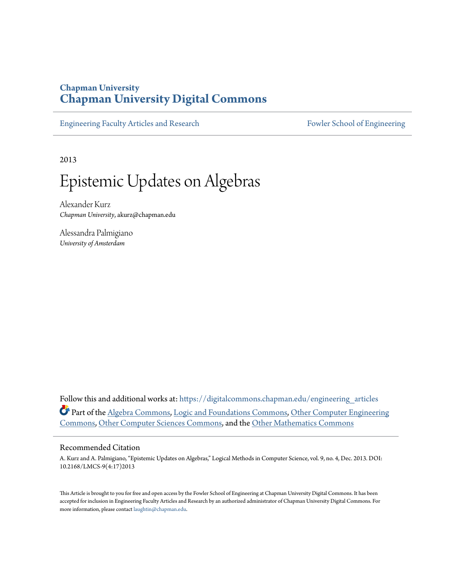## **Chapman University [Chapman University Digital Commons](https://digitalcommons.chapman.edu?utm_source=digitalcommons.chapman.edu%2Fengineering_articles%2F4&utm_medium=PDF&utm_campaign=PDFCoverPages)**

[Engineering Faculty Articles and Research](https://digitalcommons.chapman.edu/engineering_articles?utm_source=digitalcommons.chapman.edu%2Fengineering_articles%2F4&utm_medium=PDF&utm_campaign=PDFCoverPages) [Fowler School of Engineering](https://digitalcommons.chapman.edu/fowler_engineering?utm_source=digitalcommons.chapman.edu%2Fengineering_articles%2F4&utm_medium=PDF&utm_campaign=PDFCoverPages)

2013

# Epistemic Updates on Algebras

Alexander Kurz *Chapman University*, akurz@chapman.edu

Alessandra Palmigiano *University of Amsterdam*

Follow this and additional works at: [https://digitalcommons.chapman.edu/engineering\\_articles](https://digitalcommons.chapman.edu/engineering_articles?utm_source=digitalcommons.chapman.edu%2Fengineering_articles%2F4&utm_medium=PDF&utm_campaign=PDFCoverPages) Part of the [Algebra Commons,](http://network.bepress.com/hgg/discipline/175?utm_source=digitalcommons.chapman.edu%2Fengineering_articles%2F4&utm_medium=PDF&utm_campaign=PDFCoverPages) [Logic and Foundations Commons](http://network.bepress.com/hgg/discipline/182?utm_source=digitalcommons.chapman.edu%2Fengineering_articles%2F4&utm_medium=PDF&utm_campaign=PDFCoverPages), [Other Computer Engineering](http://network.bepress.com/hgg/discipline/265?utm_source=digitalcommons.chapman.edu%2Fengineering_articles%2F4&utm_medium=PDF&utm_campaign=PDFCoverPages) [Commons,](http://network.bepress.com/hgg/discipline/265?utm_source=digitalcommons.chapman.edu%2Fengineering_articles%2F4&utm_medium=PDF&utm_campaign=PDFCoverPages) [Other Computer Sciences Commons,](http://network.bepress.com/hgg/discipline/152?utm_source=digitalcommons.chapman.edu%2Fengineering_articles%2F4&utm_medium=PDF&utm_campaign=PDFCoverPages) and the [Other Mathematics Commons](http://network.bepress.com/hgg/discipline/185?utm_source=digitalcommons.chapman.edu%2Fengineering_articles%2F4&utm_medium=PDF&utm_campaign=PDFCoverPages)

## Recommended Citation

A. Kurz and A. Palmigiano, "Epistemic Updates on Algebras," Logical Methods in Computer Science, vol. 9, no. 4, Dec. 2013. DOI: 10.2168/LMCS-9(4:17)2013

This Article is brought to you for free and open access by the Fowler School of Engineering at Chapman University Digital Commons. It has been accepted for inclusion in Engineering Faculty Articles and Research by an authorized administrator of Chapman University Digital Commons. For more information, please contact [laughtin@chapman.edu](mailto:laughtin@chapman.edu).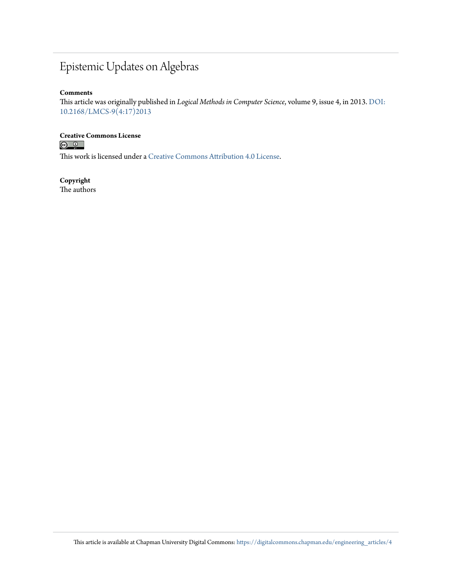## Epistemic Updates on Algebras

## **Comments**

This article was originally published in *Logical Methods in Computer Science*, volume 9, issue 4, in 2013. [DOI:](https://doi.org/10.2168/LMCS-9(4:17)2013) [10.2168/LMCS-9\(4:17\)2013](https://doi.org/10.2168/LMCS-9(4:17)2013)

## **Creative Commons License**<br> **<b>C** <u>**Q Q**</u>

This work is licensed under a [Creative Commons Attribution 4.0 License.](https://creativecommons.org/licenses/by/4.0/)

## **Copyright**

The authors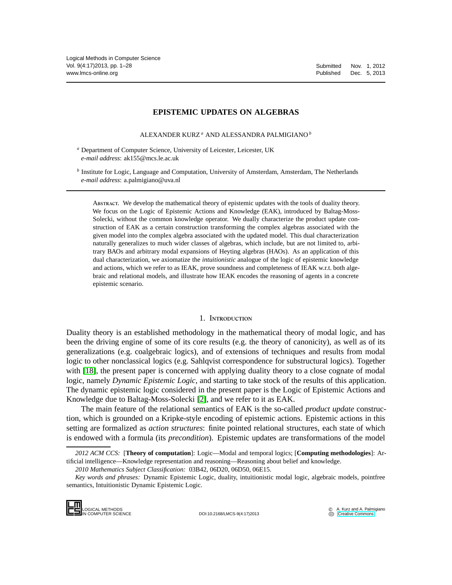## **EPISTEMIC UPDATES ON ALGEBRAS**

ALEXANDER KURZ *<sup>a</sup>* AND ALESSANDRA PALMIGIANO *<sup>b</sup>*

*<sup>a</sup>* Department of Computer Science, University of Leicester, Leicester, UK *e-mail address*: ak155@mcs.le.ac.uk

*b* Institute for Logic, Language and Computation, University of Amsterdam, Amsterdam, The Netherlands *e-mail address*: a.palmigiano@uva.nl

Abstract. We develop the mathematical theory of epistemic updates with the tools of duality theory. We focus on the Logic of Epistemic Actions and Knowledge (EAK), introduced by Baltag-Moss-Solecki, without the common knowledge operator. We dually characterize the product update construction of EAK as a certain construction transforming the complex algebras associated with the given model into the complex algebra associated with the updated model. This dual characterization naturally generalizes to much wider classes of algebras, which include, but are not limited to, arbitrary BAOs and arbitrary modal expansions of Heyting algebras (HAOs). As an application of this dual characterization, we axiomatize the *intuitionistic* analogue of the logic of epistemic knowledge and actions, which we refer to as IEAK, prove soundness and completeness of IEAK w.r.t. both algebraic and relational models, and illustrate how IEAK encodes the reasoning of agents in a concrete epistemic scenario.

## 1. Introduction

Duality theory is an established methodology in the mathematical theory of modal logic, and has been the driving engine of some of its core results (e.g. the theory of canonicity), as well as of its generalizations (e.g. coalgebraic logics), and of extensions of techniques and results from modal logic to other nonclassical logics (e.g. Sahlqvist correspondence for substructural logics). Together with [\[18\]](#page-29-0), the present paper is concerned with applying duality theory to a close cognate of modal logic, namely *Dynamic Epistemic Logic*, and starting to take stock of the results of this application. The dynamic epistemic logic considered in the present paper is the Logic of Epistemic Actions and Knowledge due to Baltag-Moss-Solecki [\[2\]](#page-29-1), and we refer to it as EAK.

The main feature of the relational semantics of EAK is the so-called *product update* construction, which is grounded on a Kripke-style encoding of epistemic actions. Epistemic actions in this setting are formalized as *action structures*: finite pointed relational structures, each state of which is endowed with a formula (its *precondition*). Epistemic updates are transformations of the model

IN COMPUTER SCIENCE DOI:10.2168/LMCS-9(4:17)2013

*<sup>2012</sup> ACM CCS:* [**Theory of computation**]: Logic—Modal and temporal logics; [**Computing methodologies**]: Artificial intelligence—Knowledge representation and reasoning—Reasoning about belief and knowledge.

*<sup>2010</sup> Mathematics Subject Classification:* 03B42, 06D20, 06D50, 06E15.

*Key words and phrases:* Dynamic Epistemic Logic, duality, intuitionistic modal logic, algebraic models, pointfree semantics, Intuitionistic Dynamic Epistemic Logic.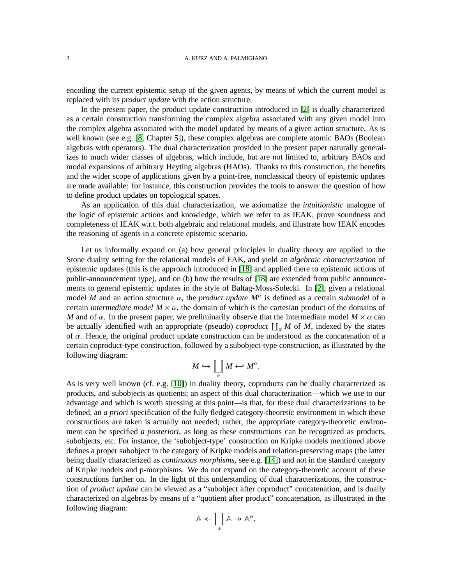encoding the current epistemic setup of the given agents, by means of which the current model is replaced with its *product update* with the action structure.

In the present paper, the product update construction introduced in [\[2\]](#page-29-1) is dually characterized as a certain construction transforming the complex algebra associated with any given model into the complex algebra associated with the model updated by means of a given action structure. As is well known (see e.g. [\[8,](#page-29-2) Chapter 5]), these complex algebras are complete atomic BAOs (Boolean algebras with operators). The dual characterization provided in the present paper naturally generalizes to much wider classes of algebras, which include, but are not limited to, arbitrary BAOs and modal expansions of arbitrary Heyting algebras (HAOs). Thanks to this construction, the benefits and the wider scope of applications given by a point-free, nonclassical theory of epistemic updates are made available: for instance, this construction provides the tools to answer the question of how to define product updates on topological spaces.

As an application of this dual characterization, we axiomatize the *intuitionistic* analogue of the logic of epistemic actions and knowledge, which we refer to as IEAK, prove soundness and completeness of IEAK w.r.t. both algebraic and relational models, and illustrate how IEAK encodes the reasoning of agents in a concrete epistemic scenario.

Let us informally expand on (a) how general principles in duality theory are applied to the Stone duality setting for the relational models of EAK, and yield an *algebraic characterization* of epistemic updates (this is the approach introduced in [\[18\]](#page-29-0) and applied there to epistemic actions of public-announcement type), and on (b) how the results of [\[18\]](#page-29-0) are extended from public announcements to general epistemic updates in the style of Baltag-Moss-Solecki. In [\[2\]](#page-29-1), given a relational model *M* and an action structure  $\alpha$ , the *product update*  $M^{\alpha}$  is defined as a certain *submodel* of a certain *intermediate model*  $M \times \alpha$ *,* the domain of which is the cartesian product of the domains of *M* and of  $\alpha$ . In the present paper, we preliminarily observe that the intermediate model  $M \times \alpha$  can be actually identified with an appropriate (pseudo) *coproduct*  $\prod_{\alpha} M$  of M, indexed by the states of  $\alpha$ . Hence, the original product update construction can be understood as the concatenation of a certain coproduct-type construction, followed by a subobject-type construction, as illustrated by the following diagram:

$$
M \hookrightarrow \coprod_{\alpha} M \hookleftarrow M^{\alpha}.
$$

As is very well known (cf. e.g. [\[10\]](#page-29-3)) in duality theory, coproducts can be dually characterized as products, and subobjects as quotients; an aspect of this dual characterization—which we use to our advantage and which is worth stressing at this point—is that, for these dual characterizations to be defined, an *a priori* specification of the fully fledged category-theoretic environment in which these constructions are taken is actually not needed; rather, the appropriate category-theoretic environment can be specified *a posteriori*, as long as these constructions can be recognized as products, subobjects, etc. For instance, the 'subobject-type' construction on Kripke models mentioned above defines a proper subobject in the category of Kripke models and relation-preserving maps (the latter being dually characterized as *continuous morphisms*, see e.g. [\[14\]](#page-29-4)) and not in the standard category of Kripke models and p-morphisms. We do not expand on the category-theoretic account of these constructions further on. In the light of this understanding of dual characterizations, the construction of *product update* can be viewed as a "subobject after coproduct" concatenation, and is dually characterized on algebras by means of a "quotient after product" concatenation, as illustrated in the following diagram:

$$
\mathbb{A} \leftarrow \prod_{\alpha} \mathbb{A} \rightarrow \mathbb{A}^{\alpha},
$$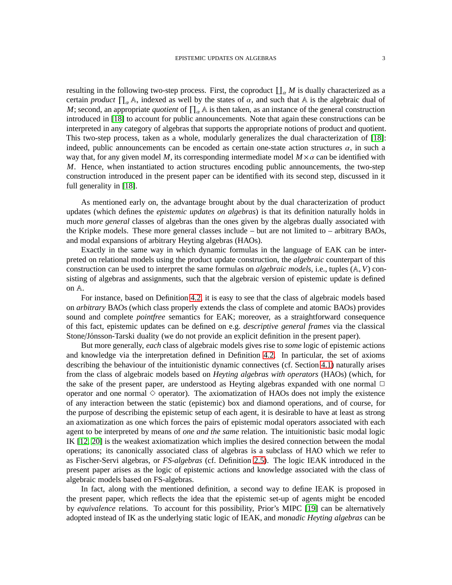resulting in the following two-step process. First, the coproduct  $\prod_{\alpha} M$  is dually characterized as a certain *product*  $\prod_{\alpha} A$ , indexed as well by the states of  $\alpha$ , and such that A is the algebraic dual of *M*; second, an appropriate *quotient* of  $\prod_{\alpha} A$  is then taken, as an instance of the general construction introduced in [\[18\]](#page-29-0) to account for public announcements. Note that again these constructions can be interpreted in any category of algebras that supports the appropriate notions of product and quotient. This two-step process, taken as a whole, modularly generalizes the dual characterization of [\[18\]](#page-29-0): indeed, public announcements can be encoded as certain one-state action structures  $\alpha$ , in such a way that, for any given model M, its corresponding intermediate model  $M \times \alpha$  can be identified with *M*. Hence, when instantiated to action structures encoding public announcements, the two-step construction introduced in the present paper can be identified with its second step, discussed in it full generality in [\[18\]](#page-29-0).

As mentioned early on, the advantage brought about by the dual characterization of product updates (which defines the *epistemic updates on algebras*) is that its definition naturally holds in much *more general* classes of algebras than the ones given by the algebras dually associated with the Kripke models. These more general classes include – but are not limited to – arbitrary BAOs, and modal expansions of arbitrary Heyting algebras (HAOs).

Exactly in the same way in which dynamic formulas in the language of EAK can be interpreted on relational models using the product update construction, the *algebraic* counterpart of this construction can be used to interpret the same formulas on *algebraic models*, i.e., tuples (A, *V*) consisting of algebras and assignments, such that the algebraic version of epistemic update is defined on A.

For instance, based on Definition [4.2,](#page-17-0) it is easy to see that the class of algebraic models based on *arbitrary* BAOs (which class properly extends the class of complete and atomic BAOs) provides sound and complete *pointfree* semantics for EAK; moreover, as a straightforward consequence of this fact, epistemic updates can be defined on e.g. *descriptive general frames* via the classical Stone/Jónsson-Tarski duality (we do not provide an explicit definition in the present paper).

But more generally, *each* class of algebraic models gives rise to *some* logic of epistemic actions and knowledge via the interpretation defined in Definition [4.2.](#page-17-0) In particular, the set of axioms describing the behaviour of the intuitionistic dynamic connectives (cf. Section [4.1\)](#page-15-0) naturally arises from the class of algebraic models based on *Heyting algebras with operators* (HAOs) (which, for the sake of the present paper, are understood as Heyting algebras expanded with one normal  $\Box$ operator and one normal  $\diamond$  operator). The axiomatization of HAOs does not imply the existence of any interaction between the static (epistemic) box and diamond operations, and of course, for the purpose of describing the epistemic setup of each agent, it is desirable to have at least as strong an axiomatization as one which forces the pairs of epistemic modal operators associated with each agent to be interpreted by means of *one and the same* relation. The intuitionistic basic modal logic IK [\[12,](#page-29-5) [20\]](#page-29-6) is the weakest axiomatization which implies the desired connection between the modal operations; its canonically associated class of algebras is a subclass of HAO which we refer to as Fischer-Servi algebras, or *FS-algebras* (cf. Definition [2.5\)](#page-9-0). The logic IEAK introduced in the present paper arises as the logic of epistemic actions and knowledge associated with the class of algebraic models based on FS-algebras.

In fact, along with the mentioned definition, a second way to define IEAK is proposed in the present paper, which reflects the idea that the epistemic set-up of agents might be encoded by *equivalence* relations. To account for this possibility, Prior's MIPC [\[19\]](#page-29-7) can be alternatively adopted instead of IK as the underlying static logic of IEAK, and *monadic Heyting algebras* can be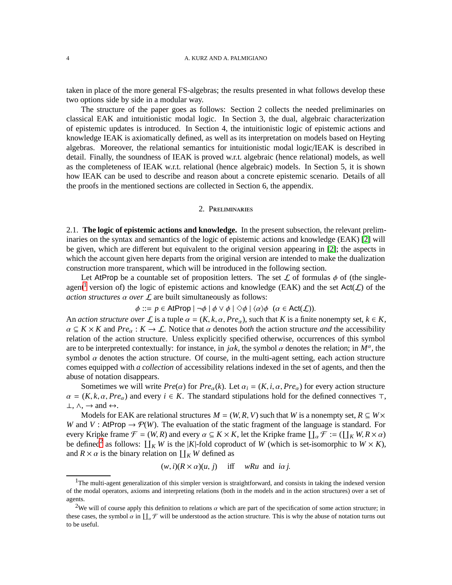taken in place of the more general FS-algebras; the results presented in what follows develop these two options side by side in a modular way.

The structure of the paper goes as follows: Section 2 collects the needed preliminaries on classical EAK and intuitionistic modal logic. In Section 3, the dual, algebraic characterization of epistemic updates is introduced. In Section 4, the intuitionistic logic of epistemic actions and knowledge IEAK is axiomatically defined, as well as its interpretation on models based on Heyting algebras. Moreover, the relational semantics for intuitionistic modal logic/IEAK is described in detail. Finally, the soundness of IEAK is proved w.r.t. algebraic (hence relational) models, as well as the completeness of IEAK w.r.t. relational (hence algebraic) models. In Section 5, it is shown how IEAK can be used to describe and reason about a concrete epistemic scenario. Details of all the proofs in the mentioned sections are collected in Section 6, the appendix.

## 2. Preliminaries

<span id="page-5-2"></span>2.1. **The logic of epistemic actions and knowledge.** In the present subsection, the relevant preliminaries on the syntax and semantics of the logic of epistemic actions and knowledge (EAK) [\[2\]](#page-29-1) will be given, which are different but equivalent to the original version appearing in [\[2\]](#page-29-1); the aspects in which the account given here departs from the original version are intended to make the dualization construction more transparent, which will be introduced in the following section.

Let AtProp be a countable set of proposition letters. The set  $\mathcal L$  of formulas  $\phi$  of (the single-agent<sup>[1](#page-5-0)</sup> version of) the logic of epistemic actions and knowledge (EAK) and the set  $Act(\mathcal{L})$  of the *action structures*  $\alpha$  *over*  $\mathcal{L}$  are built simultaneously as follows:

$$
\phi ::= p \in \mathsf{AtProp} \mid \neg \phi \mid \phi \lor \phi \mid \Diamond \phi \mid \langle \alpha \rangle \phi \ \ (\alpha \in \mathsf{Act}(\mathcal{L})).
$$

An *action structure over*  $\mathcal{L}$  is a tuple  $\alpha = (K, k, \alpha, Pre_{\alpha})$ , such that *K* is a finite nonempty set,  $k \in K$ ,  $\alpha \subseteq K \times K$  and  $Pre_\alpha : K \to \mathcal{L}$ . Notice that  $\alpha$  denotes *both* the action structure *and* the accessibility relation of the action structure. Unless explicitly specified otherwise, occurrences of this symbol are to be interpreted contextually: for instance, in *jak*, the symbol  $\alpha$  denotes the relation; in  $M^{\alpha}$ , the symbol  $\alpha$  denotes the action structure. Of course, in the multi-agent setting, each action structure comes equipped with *a collection* of accessibility relations indexed in the set of agents, and then the abuse of notation disappears.

Sometimes we will write  $Pre(\alpha)$  for  $Pre_{\alpha}(k)$ . Let  $\alpha_i = (K, i, \alpha, Pre_{\alpha})$  for every action structure  $\alpha = (K, k, \alpha, Pre_{\alpha})$  and every  $i \in K$ . The standard stipulations hold for the defined connectives ⊤,  $\bot, \wedge, \rightarrow$  and  $\leftrightarrow$ .

Models for EAK are relational structures  $M = (W, R, V)$  such that W is a nonempty set,  $R \subseteq W \times$ *W* and *V* : AtProp  $\rightarrow$   $\mathcal{P}(W)$ . The evaluation of the static fragment of the language is standard. For every Kripke frame  $\mathcal{F} = (W, R)$  and every  $\alpha \subseteq K \times K$ , let the Kripke frame  $\prod_{\alpha} \mathcal{F} := (\prod_{K} W, R \times \alpha)$ be defined<sup>[2](#page-5-1)</sup> as follows:  $\prod_{K} W$  is the |*K*|-fold coproduct of *W* (which is set-isomorphic to  $W \times K$ ), and  $R \times \alpha$  is the binary relation on  $\prod_{K} W$  defined as

 $(w, i)(R \times \alpha)(u, j)$  iff *wRu* and *i* $\alpha j$ .

<span id="page-5-0"></span><sup>&</sup>lt;sup>1</sup>The multi-agent generalization of this simpler version is straightforward, and consists in taking the indexed version of the modal operators, axioms and interpreting relations (both in the models and in the action structures) over a set of agents.

<span id="page-5-1"></span><sup>&</sup>lt;sup>2</sup>We will of course apply this definition to relations  $\alpha$  which are part of the specification of some action structure; in these cases, the symbol  $\alpha$  in  $\prod_{\alpha} \mathcal{F}$  will be understood as the action structure. This is why the abuse of notation turns out to be useful.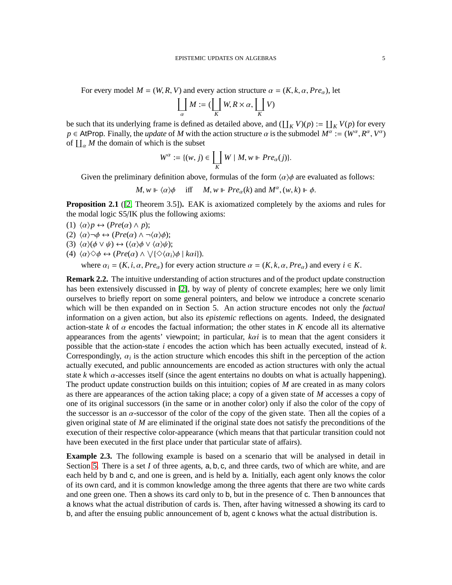For every model  $M = (W, R, V)$  and every action structure  $\alpha = (K, k, \alpha, Pre_{\alpha})$ , let

$$
\coprod_{\alpha}M:=(\coprod_{K}W,R\times\alpha,\coprod_{K}V)
$$

be such that its underlying frame is defined as detailed above, and  $(\prod_K V)(p) := \prod_K V(p)$  for every  $p \in$  AtProp. Finally, the *update* of *M* with the action structure  $\alpha$  is the submodel  $M^{\alpha} := (W^{\alpha}, R^{\alpha}, V^{\alpha})$ of  $\prod_{\alpha} M$  the domain of which is the subset

$$
W^{\alpha} := \{(w, j) \in \coprod_{K} W \mid M, w \Vdash Pre_{\alpha}(j)\}.
$$

Given the preliminary definition above, formulas of the form  $\langle \alpha \rangle \phi$  are evaluated as follows:

 $M, w \Vdash \langle \alpha \rangle \phi$  iff  $M, w \Vdash Pre_{\alpha}(k)$  and  $M^{\alpha}, (w, k) \Vdash \phi$ .

**Proposition 2.1** ([\[2,](#page-29-1) Theorem 3.5])**.** EAK is axiomatized completely by the axioms and rules for the modal logic S5/IK plus the following axioms:

$$
(1) \langle \alpha \rangle p \leftrightarrow (Pre(\alpha) \land p);
$$

 $(2)$   $\langle \alpha \rangle \neg \phi \leftrightarrow (Pre(\alpha) \land \neg \langle \alpha \rangle \phi);$ 

- (3)  $\langle \alpha \rangle (\phi \vee \psi) \leftrightarrow (\langle \alpha \rangle \phi \vee \langle \alpha \rangle \psi);$
- (4)  $\langle \alpha \rangle \Diamond \phi \leftrightarrow (Pre(\alpha) \land \lor \{ \Diamond \langle \alpha_i \rangle \phi \mid k\alpha i \}).$

where  $\alpha_i = (K, i, \alpha, Pre_\alpha)$  for every action structure  $\alpha = (K, k, \alpha, Pre_\alpha)$  and every  $i \in K$ .

**Remark 2.2.** The intuitive understanding of action structures and of the product update construction has been extensively discussed in [\[2\]](#page-29-1), by way of plenty of concrete examples; here we only limit ourselves to briefly report on some general pointers, and below we introduce a concrete scenario which will be then expanded on in Section 5. An action structure encodes not only the *factual* information on a given action, but also its *epistemic* reflections on agents. Indeed, the designated action-state  $k$  of  $\alpha$  encodes the factual information; the other states in  $K$  encode all its alternative appearances from the agents' viewpoint; in particular, *k*α*i* is to mean that the agent considers it possible that the action-state *i* encodes the action which has been actually executed, instead of *k*. Correspondingly,  $\alpha_i$  is the action structure which encodes this shift in the perception of the action actually executed, and public announcements are encoded as action structures with only the actual state *k* which  $\alpha$ -accesses itself (since the agent entertains no doubts on what is actually happening). The product update construction builds on this intuition; copies of *M* are created in as many colors as there are appearances of the action taking place; a copy of a given state of *M* accesses a copy of one of its original successors (in the same or in another color) only if also the color of the copy of the successor is an  $\alpha$ -successor of the color of the copy of the given state. Then all the copies of a given original state of *M* are eliminated if the original state does not satisfy the preconditions of the execution of their respective color-appearance (which means that that particular transition could not have been executed in the first place under that particular state of affairs).

<span id="page-6-0"></span>**Example 2.3.** The following example is based on a scenario that will be analysed in detail in Section [5.](#page-20-0) There is a set *I* of three agents, a, b, c, and three cards, two of which are white, and are each held by b and c, and one is green, and is held by a. Initially, each agent only knows the color of its own card, and it is common knowledge among the three agents that there are two white cards and one green one. Then a shows its card only to b, but in the presence of c. Then b announces that a knows what the actual distribution of cards is. Then, after having witnessed a showing its card to b, and after the ensuing public announcement of b, agent c knows what the actual distribution is.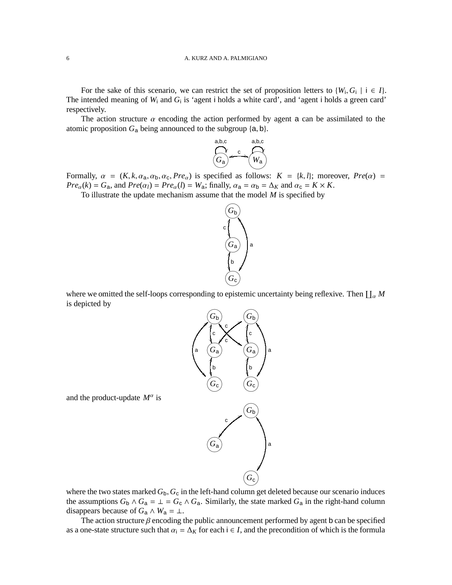For the sake of this scenario, we can restrict the set of proposition letters to  $\{W_i, G_i \mid i \in I\}$ . The intended meaning of  $W_i$  and  $G_i$  is 'agent i holds a white card', and 'agent i holds a green card' respectively.

The action structure  $\alpha$  encoding the action performed by agent a can be assimilated to the atomic proposition  $G_a$  being announced to the subgroup  $\{a, b\}$ .



Formally,  $\alpha = (K, k, \alpha_a, \alpha_b, \alpha_c, Pre_\alpha)$  is specified as follows:  $K = \{k, l\}$ ; moreover,  $Pre(\alpha)$  $Pre_{\alpha}(k) = G_{\mathbf{a}}$ , and  $Pre(\alpha_l) = Pre_{\alpha}(l) = W_{\mathbf{a}}$ ; finally,  $\alpha_{\mathbf{a}} = \alpha_{\mathbf{b}} = \Delta_K$  and  $\alpha_{\mathbf{c}} = K \times K$ .

To illustrate the update mechanism assume that the model *M* is specified by



where we omitted the self-loops corresponding to epistemic uncertainty being reflexive. Then  $\coprod_{\alpha}M$ is depicted by



where the two states marked  $G_b$ ,  $G_c$  in the left-hand column get deleted because our scenario induces the assumptions  $G_b \wedge G_a = \perp = G_c \wedge G_a$ . Similarly, the state marked  $G_a$  in the right-hand column disappears because of  $G_a \wedge W_a = \bot$ .

The action structure  $\beta$  encoding the public announcement performed by agent b can be specified as a one-state structure such that  $\alpha_i = \Delta_K$  for each  $i \in I$ , and the precondition of which is the formula

and the product-update  $M^{\alpha}$  is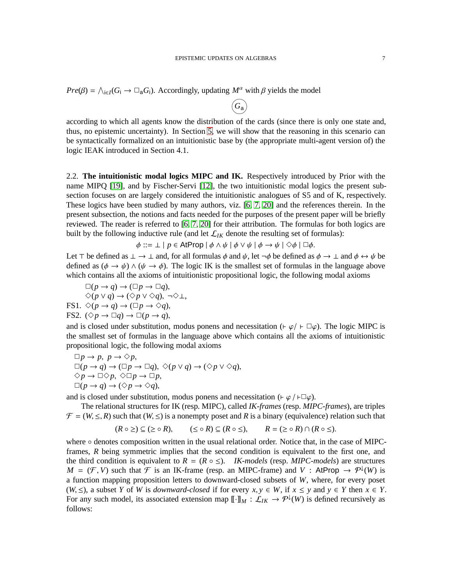$Pre(\beta) = \bigwedge_{i \in I} (G_i \to \Box_a G_i)$ . Accordingly, updating  $M^{\alpha}$  with  $\beta$  yields the model

according to which all agents know the distribution of the cards (since there is only one state and, thus, no epistemic uncertainty). In Section [5,](#page-20-0) we will show that the reasoning in this scenario can be syntactically formalized on an intuitionistic base by (the appropriate multi-agent version of) the logic IEAK introduced in Section 4.1.

 $\widehat{(G_{\mathsf{a}})}$ 

2.2. **The intuitionistic modal logics MIPC and IK.** Respectively introduced by Prior with the name MIPQ [\[19\]](#page-29-7), and by Fischer-Servi [\[12\]](#page-29-5), the two intuitionistic modal logics the present subsection focuses on are largely considered the intuitionistic analogues of S5 and of K, respectively. These logics have been studied by many authors, viz. [\[6,](#page-29-8) [7,](#page-29-9) [20\]](#page-29-6) and the references therein. In the present subsection, the notions and facts needed for the purposes of the present paper will be briefly reviewed. The reader is referred to [\[6,](#page-29-8) [7,](#page-29-9) [20\]](#page-29-6) for their attribution. The formulas for both logics are built by the following inductive rule (and let  $\mathcal{L}_{IK}$  denote the resulting set of formulas):

 $\phi ::= \bot \mid p \in \mathsf{AtProp} \mid \phi \land \psi \mid \phi \lor \psi \mid \phi \rightarrow \psi \mid \Diamond \phi \mid \Box \phi$ .

Let ⊤ be defined as  $\perp \to \perp$  and, for all formulas  $\phi$  and  $\psi$ , let  $\neg \phi$  be defined as  $\phi \to \perp$  and  $\phi \leftrightarrow \psi$  be defined as  $(\phi \to \psi) \land (\psi \to \phi)$ . The logic IK is the smallest set of formulas in the language above which contains all the axioms of intuitionistic propositional logic, the following modal axioms

 $\square(p \to q) \to (\square p \to \square q),$  $\diamondsuit(p \vee q) \rightarrow (\diamondsuit p \vee \diamondsuit q)$ , ¬◇⊥, FS1.  $\Diamond (p \rightarrow q) \rightarrow (\Box p \rightarrow \Diamond q)$ , FS2.  $(\Diamond p \to \Box q) \to \Box (p \to q)$ ,

and is closed under substitution, modus ponens and necessitation ( $\vdash \varphi / \vdash \Box \varphi$ ). The logic MIPC is the smallest set of formulas in the language above which contains all the axioms of intuitionistic propositional logic, the following modal axioms

 $\Box p \rightarrow p, p \rightarrow \Diamond p,$  $\square(p \to q) \to (\square p \to \square q), \ \Diamond(p \lor q) \to (\Diamond p \lor \Diamond q),$  $\Diamond p \rightarrow \Box \Diamond p$ ,  $\Diamond \Box p \rightarrow \Box p$ ,  $\square(p \to q) \to (\Diamond p \to \Diamond q),$ 

and is closed under substitution, modus ponens and necessitation (⊢ $\varphi$ /⊢ $\Box \varphi$ ).

The relational structures for IK (resp. MIPC), called *IK-frames* (resp. *MIPC-frames*), are triples  $\mathcal{F} = (W, \leq, R)$  such that  $(W, \leq)$  is a nonempty poset and R is a binary (equivalence) relation such that

$$
(R \circ \geq) \subseteq (\geq \circ R), \qquad (\leq \circ R) \subseteq (R \circ \leq), \qquad R = (\geq \circ R) \cap (R \circ \leq).
$$

where ∘ denotes composition written in the usual relational order. Notice that, in the case of MIPCframes, *R* being symmetric implies that the second condition is equivalent to the first one, and the third condition is equivalent to  $R = (R \circ \leq)$ . *IK-models* (resp. *MIPC-models*) are structures  $M = (\mathcal{F}, V)$  such that  $\mathcal{F}$  is an IK-frame (resp. an MIPC-frame) and *V* : AtProp  $\rightarrow \mathcal{P}^{\downarrow}(W)$  is a function mapping proposition letters to downward-closed subsets of *W*, where, for every poset (*W*, ≤), a subset *Y* of *W* is *downward-closed* if for every  $x, y \in W$ , if  $x \le y$  and  $y \in Y$  then  $x \in Y$ . For any such model, its associated extension map  $[\![\cdot]\!]_M : \mathcal{L}_{IK} \to \mathcal{P}^{\downarrow}(W)$  is defined recursively as follows: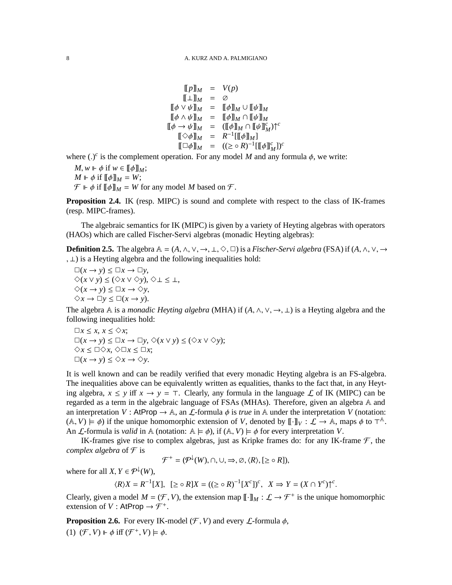$$
\begin{array}{rcl} \llbracket p \rrbracket_M & = & V(p) \\ \llbracket \bot \rrbracket_M & = & \oslash \\ \llbracket \phi \vee \psi \rrbracket_M & = & \llbracket \phi \rrbracket_M \cup \llbracket \psi \rrbracket_M \\ \llbracket \phi \wedge \psi \rrbracket_M & = & \llbracket \phi \rrbracket_M \cap \llbracket \psi \rrbracket_M \\ \llbracket \phi \rightarrow \psi \rrbracket_M & = & (\llbracket \phi \rrbracket_M \cap \llbracket \psi \rrbracket_M')^\mathsf{c} \\ \llbracket \Diamond \phi \rrbracket_M & = & R^{-1} [\llbracket \phi \rrbracket_M] \\ \llbracket \Box \phi \rrbracket_M & = & ( \geq \circ R)^{-1} [\llbracket \phi \rrbracket_M']^\mathsf{c} \end{array}
$$

where ( $\cdot$ )<sup>c</sup> is the complement operation. For any model *M* and any formula  $\phi$ , we write:

 $M, w \Vdash \phi$  if  $w \in [\![\phi]\!]_M;$  $M \Vdash \phi$  if  $[\![\phi]\!]_M = W;$  $\mathcal{F} \Vdash \phi$  if  $[\![\phi]\!]_M = W$  for any model M based on  $\mathcal{F}$ .

<span id="page-9-2"></span>**Proposition 2.4.** IK (resp. MIPC) is sound and complete with respect to the class of IK-frames (resp. MIPC-frames).

The algebraic semantics for IK (MIPC) is given by a variety of Heyting algebras with operators (HAOs) which are called Fischer-Servi algebras (monadic Heyting algebras):

<span id="page-9-0"></span>**Definition 2.5.** The algebra  $\mathbb{A} = (A, \wedge, \vee, \rightarrow, \bot, \Diamond, \Box)$  is a *Fischer-Servi algebra* (FSA) if  $(A, \wedge, \vee, \rightarrow, \bot, \Diamond, \Box)$ , ⊥) is a Heyting algebra and the following inequalities hold:

 $\square(x \to y) \leq \square x \to \square y$ , ✸(*x* ∨ *y*) ≤ (✸*x* ∨ ✸*y*), ✸⊥ ≤ ⊥,  $\Diamond$ ( $x \to y$ )  $\leq \Box$  $x \to \Diamond y$ ,  $\diamondsuit x \to \Box y \leq \Box(x \to y)$ .

The algebra A is a *monadic Heyting algebra* (MHA) if  $(A, \wedge, \vee, \rightarrow, \perp)$  is a Heyting algebra and the following inequalities hold:

✷*x* ≤ *x*, *x* ≤ ✸*x*;  $\Box(x \to y)$  ≤  $\Box x \to \Box y$ ,  $\diamondsuit(x \lor y)$  ≤ (◇ $x \lor \diamondsuit y$ );  $\diamondsuit x$  ≤ □◇*x*, ◇□ $x$  ≤ □*x*;  $□(x → y) ≤ ∞x → ∞y.$ 

It is well known and can be readily verified that every monadic Heyting algebra is an FS-algebra. The inequalities above can be equivalently written as equalities, thanks to the fact that, in any Heyting algebra,  $x \le y$  iff  $x \to y = \tau$ . Clearly, any formula in the language  $\mathcal L$  of IK (MIPC) can be regarded as a term in the algebraic language of FSAs (MHAs). Therefore, given an algebra A and an interpretation *V* : AtProp  $\rightarrow$  A, an *L*-formula  $\phi$  is *true* in A under the interpretation *V* (notation:  $(A, V) \models \phi$  if the unique homomorphic extension of *V*, denoted by  $[\![\cdot]\!]_V : \mathcal{L} \to \mathbb{A}$ , maps  $\phi$  to  $\top^{\mathbb{A}}$ . An *L*-formula is *valid* in A (notation:  $A \models \phi$ ), if  $(A, V) \models \phi$  for every interpretation *V*.

IK-frames give rise to complex algebras, just as Kripke frames do: for any IK-frame  $\mathcal F$ , the *complex algebra* of  $\mathcal F$  is

$$
\mathcal{F}^+ = (\mathcal{P}^{\downarrow}(W), \cap, \cup, \Rightarrow, \emptyset, \langle R \rangle, [\geq \circ R]),
$$

where for all  $X, Y \in \mathcal{P}^{\downarrow}(W)$ ,

$$
\langle R \rangle X = R^{-1}[X], \ \ [\geq \circ R]X = ((\geq \circ R)^{-1}[X^c])^c, \ \ X \Rightarrow Y = (X \cap Y^c) \uparrow^c.
$$

Clearly, given a model  $M = (\mathcal{F}, V)$ , the extension map  $[\![\cdot]\!]_M : \mathcal{L} \to \mathcal{F}^+$  is the unique homomorphic extension of  $V:$  AtProp  $\rightarrow \mathcal{F}^+$ .

<span id="page-9-1"></span>**Proposition 2.6.** For every IK-model  $(F, V)$  and every  $\mathcal{L}$ -formula  $\phi$ , (1)  $(\mathcal{F}, V) \Vdash \phi$  iff  $(\mathcal{F}^+, V) \models \phi$ .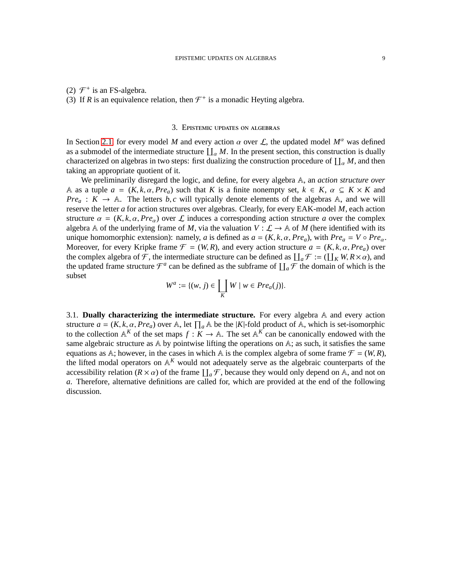## (2)  $\mathcal{F}^+$  is an FS-algebra.

<span id="page-10-0"></span>(3) If *R* is an equivalence relation, then  $\mathcal{F}^+$  is a monadic Heyting algebra.

## 3. Epistemic updates on algebras

In Section [2.1,](#page-5-2) for every model *M* and every action  $\alpha$  over L, the updated model  $M^{\alpha}$  was defined as a submodel of the intermediate structure  $\prod_{\alpha} M$ . In the present section, this construction is dually characterized on algebras in two steps: first dualizing the construction procedure of  $\prod_{\alpha} M$ , and then taking an appropriate quotient of it.

We preliminarily disregard the logic, and define, for every algebra A, an *action structure over* A as a tuple  $a = (K, k, \alpha, Pre_a)$  such that *K* is a finite nonempty set,  $k \in K$ ,  $\alpha \subseteq K \times K$  and *Pre<sub>a</sub>* :  $K \rightarrow A$ . The letters *b*, *c* will typically denote elements of the algebras A, and we will reserve the letter *a* for action structures over algebras. Clearly, for every EAK-model *M*, each action structure  $\alpha = (K, k, \alpha, Pre_{\alpha})$  over L induces a corresponding action structure a over the complex algebra A of the underlying frame of M, via the valuation  $V : \mathcal{L} \to \mathbb{A}$  of M (here identified with its unique homomorphic extension): namely, *a* is defined as  $a = (K, k, \alpha, Pre_a)$ , with  $Pre_a = V \circ Pre_a$ . Moreover, for every Kripke frame  $\mathcal{F} = (W, R)$ , and every action structure  $a = (K, k, \alpha, Pre_a)$  over the complex algebra of F, the intermediate structure can be defined as  $\prod_a \mathcal{F} := (\prod_K W, R \times \alpha)$ , and the updated frame structure  $\mathcal{F}^a$  can be defined as the subframe of  $\prod_a \mathcal{F}$  the domain of which is the subset

$$
W^a := \{(w, j) \in \coprod_K W \mid w \in Pre_a(j)\}.
$$

3.1. **Dually characterizing the intermediate structure.** For every algebra A and every action structure  $a = (K, k, \alpha, Pre_a)$  over A, let  $\prod_a A$  be the  $|K|$ -fold product of A, which is set-isomorphic to the collection  $A^K$  of the set maps  $f: K \to A$ . The set  $A^K$  can be canonically endowed with the same algebraic structure as A by pointwise lifting the operations on A; as such, it satisfies the same equations as A; however, in the cases in which A is the complex algebra of some frame  $\mathcal{F} = (W, R)$ , the lifted modal operators on  $\mathbb{A}^K$  would not adequately serve as the algebraic counterparts of the accessibility relation ( $R \times \alpha$ ) of the frame  $\prod_a \mathcal{F}$ , because they would only depend on A, and not on *a*. Therefore, alternative definitions are called for, which are provided at the end of the following discussion.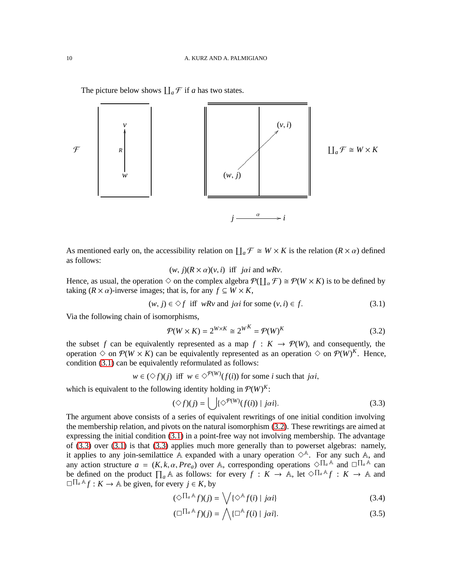The picture below shows  $\prod_a \mathcal{F}$  if *a* has two states.



As mentioned early on, the accessibility relation on  $\prod_a \mathcal{F} \cong W \times K$  is the relation  $(R \times \alpha)$  defined as follows:

 $(w, j)(R \times \alpha)(v, i)$  iff *jai* and *wRv*.

Hence, as usual, the operation  $\Diamond$  on the complex algebra  $P(\prod_{\alpha} \mathcal{F}) \cong P(W \times K)$  is to be defined by taking  $(R \times \alpha)$ -inverse images; that is, for any  $f \subseteq W \times K$ ,

<span id="page-11-0"></span>
$$
(w, j) \in \Diamond f \text{ iff } wRv \text{ and } j\alpha i \text{ for some } (v, i) \in f. \tag{3.1}
$$

Via the following chain of isomorphisms,

<span id="page-11-1"></span>
$$
\mathcal{P}(W \times K) = 2^{W \times K} \cong 2^{W^K} = \mathcal{P}(W)^K \tag{3.2}
$$

the subset *f* can be equivalently represented as a map  $f : K \to \mathcal{P}(W)$ , and consequently, the operation  $\Diamond$  on  $\mathcal{P}(W \times K)$  can be equivalently represented as an operation  $\Diamond$  on  $\mathcal{P}(W)^K$ . Hence, condition [\(3.1\)](#page-11-0) can be equivalently reformulated as follows:

$$
w \in (\Diamond f)(j)
$$
 iff  $w \in \Diamond^{p(W)}(f(i))$  for some *i* such that j*ai*,

which is equivalent to the following identity holding in  $\mathcal{P}(W)^K$ :

<span id="page-11-2"></span>
$$
(\Diamond f)(j) = \bigcup \{ \Diamond^{p(W)}(f(i)) \mid j\alpha i \}. \tag{3.3}
$$

The argument above consists of a series of equivalent rewritings of one initial condition involving the membership relation, and pivots on the natural isomorphism [\(3.2\)](#page-11-1). These rewritings are aimed at expressing the initial condition [\(3.1\)](#page-11-0) in a point-free way not involving membership. The advantage of [\(3.3\)](#page-11-2) over [\(3.1\)](#page-11-0) is that [\(3.3\)](#page-11-2) applies much more generally than to powerset algebras: namely, it applies to any join-semilattice A expanded with a unary operation  $\diamond^A$ . For any such A, and any action structure  $a = (K, k, \alpha, Pre_a)$  over A, corresponding operations  $\Diamond \Pi_a A$  and  $\Box \Pi_a A$  can be defined on the product  $\prod_a \mathbb{A}$  as follows: for every  $f: K \to \mathbb{A}$ , let  $\Diamond \Pi_a \mathbb{A} f: K \to \mathbb{A}$  and  $\Box$   $\Box$  A *f* : *K* → A be given, for every *j* ∈ *K*, by

<span id="page-11-4"></span><span id="page-11-3"></span>
$$
(\diamondsuit^{\prod_a A} f)(j) = \bigvee \{ \diamond^A f(i) \mid j\alpha i \}
$$
\n(3.4)

$$
(\Box^{\prod_a A} f)(j) = \bigwedge \{ \Box^A f(i) \mid j\alpha i \}. \tag{3.5}
$$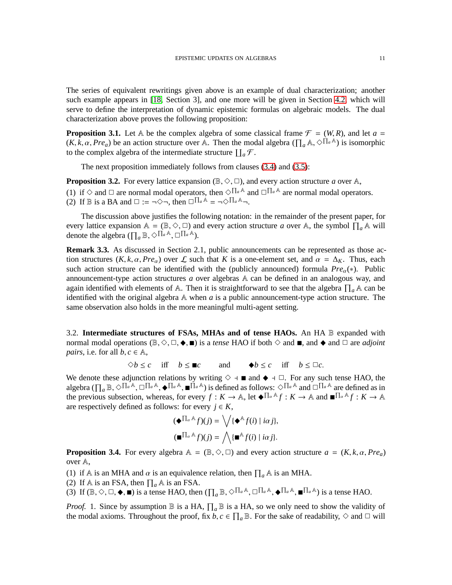The series of equivalent rewritings given above is an example of dual characterization; another such example appears in [\[18,](#page-29-0) Section 3], and one more will be given in Section [4.2,](#page-16-0) which will serve to define the interpretation of dynamic epistemic formulas on algebraic models. The dual characterization above proves the following proposition:

<span id="page-12-0"></span>**Proposition 3.1.** Let A be the complex algebra of some classical frame  $\mathcal{F} = (W, R)$ , and let  $a =$  $(K, k, \alpha, Pre_a)$  be an action structure over A. Then the modal algebra  $(\prod_a \mathbb{A}, \Diamond \Pi_a \mathbb{A})$  is isomorphic to the complex algebra of the intermediate structure  $\prod_a \mathcal{F}$ .

The next proposition immediately follows from clauses [\(3.4\)](#page-11-3) and [\(3.5\)](#page-11-4):

<span id="page-12-1"></span>**Proposition 3.2.** For every lattice expansion ( $\mathbb{B}, \Diamond, \Box$ ), and every action structure *a* over  $\mathbb{A},$ (1) if  $\diamond$  and  $\square$  are normal modal operators, then  $\diamond \Pi_a$ <sup>A</sup> and  $\square \Pi_a$ <sup>A</sup> are normal modal operators. (2) If  $\mathbb B$  is a BA and  $\Box := \neg \Diamond \neg$ , then  $\Box^{\prod_a A} = \neg \Diamond^{\prod_a A} \neg$ .

The discussion above justifies the following notation: in the remainder of the present paper, for every lattice expansion  $A = (\mathbb{B}, \Diamond, \Box)$  and every action structure *a* over A, the symbol  $\prod_a A$  will denote the algebra  $(\prod_a \mathbb{B}, \Diamond \Pi_a \mathbb{A}, \Box \Pi_a \mathbb{A}).$ 

**Remark 3.3.** As discussed in Section 2.1, public announcements can be represented as those action structures  $(K, k, \alpha, Pre_{\alpha})$  over  $\mathcal L$  such that *K* is a one-element set, and  $\alpha = \Delta_K$ . Thus, each such action structure can be identified with the (publicly announced) formula  $Pre_\alpha(*)$ . Public announcement-type action structures *a* over algebras A can be defined in an analogous way, and again identified with elements of A. Then it is straightforward to see that the algebra  $\prod_a \mathbb{A}$  can be identified with the original algebra  $A$  when  $a$  is a public announcement-type action structure. The same observation also holds in the more meaningful multi-agent setting.

3.2. **Intermediate structures of FSAs, MHAs and of tense HAOs.** An HA B expanded with normal modal operations ( $\mathbb{B}, \Diamond, \Box, \blacklozenge, \blacksquare$ ) is a *tense* HAO if both  $\Diamond$  and  $\blacksquare$ , and  $\blacklozenge$  and  $\Box$  are *adjoint pairs*, i.e. for all  $b, c \in \mathbb{A}$ ,

 $\Diamond b \leq c$  iff  $b \leq \mathbb{R}c$  and  $\blacklozenge b \leq c$  iff  $b \leq \Box c$ .

We denote these adjunction relations by writing  $\diamond$  +  $\blacksquare$  and  $\blacklozenge$  +  $\Box$ . For any such tense HAO, the algebra  $(\prod_a \mathbb{B}, \diamondsuit^{\prod_a \mathbb{A}}, \Box^{\prod_a \mathbb{A}}, \blacklozenge^{\prod_a \mathbb{A}})$  is defined as follows:  $\diamondsuit^{\prod_a \mathbb{A}}$  and  $\Box^{\prod_a \mathbb{A}}$  are defined as in the previous subsection, whereas, for every  $f: K \to \mathbb{A}$ , let  $\blacklozenge \prod_{\alpha} A_f : K \to \mathbb{A}$  and  $\blacksquare^{\prod_{\alpha} A} f : K \to \mathbb{A}$ are respectively defined as follows: for every  $j \in K$ ,

$$
(\blacklozenge \Pi_{\alpha} \triangle f)(j) = \bigvee \{ \blacklozenge^{\mathbb{A}} f(i) \mid i\alpha j \},
$$

$$
(\blacksquare \Pi_{\alpha} \triangle f)(j) = \bigwedge \{ \blacksquare^{\mathbb{A}} f(i) \mid i\alpha j \}.
$$

<span id="page-12-2"></span>**Proposition 3.4.** For every algebra  $A = (\mathbb{B}, \Diamond, \Box)$  and every action structure  $a = (K, k, \alpha, Pre_a)$ over A,

- (1) if A is an MHA and  $\alpha$  is an equivalence relation, then  $\prod_a A$  is an MHA.
- (2) If A is an FSA, then  $\prod_a A$  is an FSA.
- (3) If  $(\mathbb{B}, \Diamond, \Box, \blacklozenge, \blacksquare)$  is a tense HAO, then  $(\prod_a \mathbb{B}, \Diamond \Pi_a \mathbb{A}, \Box \Pi_a \mathbb{A}, \blacklozenge \Pi_a \mathbb{A}, \blacksquare \Pi_a \mathbb{A})$  is a tense HAO.

*Proof.* 1. Since by assumption  $\mathbb B$  is a HA,  $\prod_a \mathbb B$  is a HA, so we only need to show the validity of the modal axioms. Throughout the proof, fix  $b, c \in \prod_a \mathbb{B}$ . For the sake of readability,  $\diamond$  and  $\Box$  will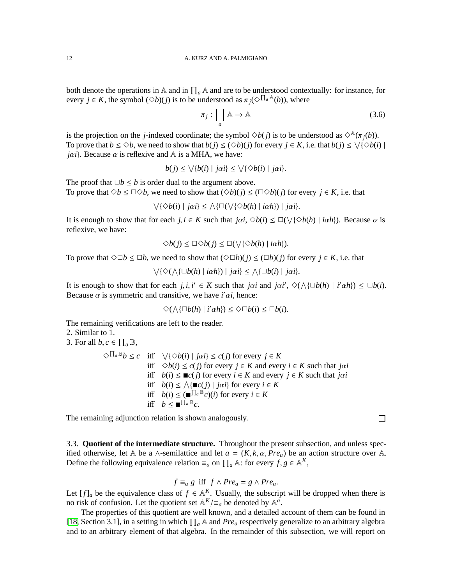both denote the operations in A and in  $\prod_a A$  and are to be understood contextually: for instance, for every  $j \in K$ , the symbol  $(\Diamond b)(j)$  is to be understood as  $\pi_j(\Diamond \Pi_a \mathbb{A}(b))$ , where

$$
\pi_j : \prod_a \mathbb{A} \to \mathbb{A} \tag{3.6}
$$

is the projection on the *j*-indexed coordinate; the symbol  $\Diamond b(j)$  is to be understood as  $\Diamond^{\mathbb{A}}(\pi_i(b))$ . To prove that  $b \le \Diamond b$ , we need to show that  $b(j) \le (\Diamond b)(j)$  for every  $j \in K$ , i.e. that  $b(j) \le \sqrt{(\Diamond b(i))}$ *jai*}. Because  $\alpha$  is reflexive and  $\mathbb A$  is a MHA, we have:

$$
b(j) \le \sqrt{b(i) | jai} \le \sqrt{\sqrt{b(i) | jai}}.
$$

The proof that  $\Box b \leq b$  is order dual to the argument above. To prove that  $\Diamond b \leq \Box \Diamond b$ , we need to show that  $(\Diamond b)(i) \leq (\Box \Diamond b)(i)$  for every  $i \in K$ , i.e. that

$$
\bigvee \{ \Diamond b(i) \mid j\alpha i\} \leq \bigwedge \{ \Box(\bigvee \{ \Diamond b(h) \mid i\alpha h\}) \mid j\alpha i\}.
$$

It is enough to show that for each  $j, i \in K$  such that  $j\alpha i, \Diamond b(i) \leq \Box(\bigvee{\Diamond b(h)} \mid i\alpha h)$ . Because  $\alpha$  is reflexive, we have:

$$
\Diamond b(j) \leq \Box \Diamond b(j) \leq \Box (\bigvee \{\Diamond b(h) \mid i\alpha h\}).
$$

To prove that  $\Diamond \Box b \leq \Box b$ , we need to show that  $(\Diamond \Box b)(i) \leq (\Box b)(i)$  for every  $i \in K$ , i.e. that

$$
\bigvee\{\Diamond(\wedge\{\Box b(h) \mid i\alpha h\}) \mid j\alpha i\} \leq \wedge \{\Box b(i) \mid j\alpha i\}.
$$

It is enough to show that for each *j*, *i*,  $i' \in K$  such that *joi* and *joi'*,  $\Diamond(\land{\Box}b(h) | i' \alpha h) \leq \Box b(i)$ . Because  $\alpha$  is symmetric and transitive, we have *i'* $\alpha i$ , hence:

$$
\Diamond(\bigwedge{\{\Box b(h) \mid i' \alpha h\}}) \leq \Diamond \Box b(i) \leq \Box b(i).
$$

The remaining verifications are left to the reader.

2. Similar to 1.

3. For all  $b, c \in \prod_a \mathbb{B}$ ,

 $\Diamond \Pi_a \mathbb{B} b \leq c$  iff  $\forall {\Diamond b(i) | j\alpha i} \leq c(j)$  for every  $j \in K$ iff  $\diamond b(i) \leq c(j)$  for every  $j \in K$  and every  $i \in K$  such that *joi* iff  $b(i) \leq \mathbb{r}c(j)$  for every  $i \in K$  and every  $j \in K$  such that *joi* iff  $b(i) \le \bigwedge \{ \mathbf{m}c(j) \mid j\alpha i \}$  for every  $i \in K$ iff  $b(i) \leq (\blacksquare^{\prod_a \mathbb{B}} c)(i)$  for every  $i \in K$ iff  $b \leq \blacksquare^{\prod_a \mathbb{B}}c$ .

The remaining adjunction relation is shown analogously.

3.3. **Quotient of the intermediate structure.** Throughout the present subsection, and unless specified otherwise, let A be a ∧-semilattice and let  $a = (K, k, \alpha, Pre_a)$  be an action structure over A. Define the following equivalence relation  $\equiv_a$  on  $\prod_a \mathbb{A}$ : for every  $f, g \in \mathbb{A}^K$ ,

$$
f \equiv_a g
$$
 iff  $f \wedge Pre_a = g \wedge Pre_a$ .

Let  $[f]_a$  be the equivalence class of  $f \in A^K$ . Usually, the subscript will be dropped when there is no risk of confusion. Let the quotient set  $\mathbb{A}^K / \equiv_a$  be denoted by  $\mathbb{A}^a$ .

The properties of this quotient are well known, and a detailed account of them can be found in [\[18,](#page-29-0) Section 3.1], in a setting in which  $\prod_a \mathbb{A}$  and *Pre<sub>a</sub>* respectively generalize to an arbitrary algebra and to an arbitrary element of that algebra. In the remainder of this subsection, we will report on

 $\Box$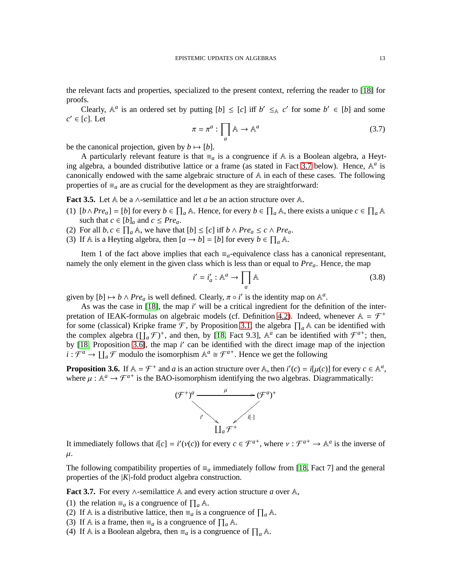the relevant facts and properties, specialized to the present context, referring the reader to [\[18\]](#page-29-0) for proofs.

Clearly,  $A^a$  is an ordered set by putting  $[b] \leq [c]$  iff  $b' \leq_A c'$  for some  $b' \in [b]$  and some  $c' \in [c]$ . Let

<span id="page-14-2"></span>
$$
\pi = \pi^a : \prod_a \mathbb{A} \to \mathbb{A}^a \tag{3.7}
$$

be the canonical projection, given by  $b \mapsto [b]$ .

A particularly relevant feature is that  $\equiv_a$  is a congruence if A is a Boolean algebra, a Heyt-ing algebra, a bounded distributive lattice or a frame (as stated in Fact [3.7](#page-14-0) below). Hence, A<sup>a</sup> is canonically endowed with the same algebraic structure of A in each of these cases. The following properties of  $\equiv_a$  are as crucial for the development as they are straightforward:

**Fact 3.5.** Let A be a ∧-semilattice and let *a* be an action structure over A.

- (1)  $[b \land Pre_a] = [b]$  for every  $b \in \prod_a \mathbb{A}$ . Hence, for every  $b \in \prod_a \mathbb{A}$ , there exists a unique  $c \in \prod_a \mathbb{A}$ such that  $c \in [b]_a$  and  $c \le Pre_a$ .
- (2) For all  $b, c \in \prod_a A$ , we have that  $[b] \leq [c]$  iff  $b \wedge Pre_a \leq c \wedge Pre_a$ .
- (3) If A is a Heyting algebra, then  $[a \rightarrow b] = [b]$  for every  $b \in \prod_a A$ .

Item 1 of the fact above implies that each  $\equiv_a$ -equivalence class has a canonical representant, namely the only element in the given class which is less than or equal to *Prea*. Hence, the map

<span id="page-14-3"></span>
$$
i' = i'_a : \mathbb{A}^a \to \prod_a \mathbb{A} \tag{3.8}
$$

given by  $[b] \mapsto b \wedge Pre_a$  is well defined. Clearly,  $\pi \circ i'$  is the identity map on  $\mathbb{A}^a$ .

As was the case in [\[18\]](#page-29-0), the map *i'* will be a critical ingredient for the definition of the inter-pretation of IEAK-formulas on algebraic models (cf. Definition [4.2\)](#page-17-0). Indeed, whenever  $A = \mathcal{F}^+$ for some (classical) Kripke frame  $\mathcal{F}$ , by Proposition [3.1,](#page-12-0) the algebra  $\prod_a \mathbb{A}$  can be identified with the complex algebra  $(\prod_a \mathcal{F})^+$ , and then, by [\[18,](#page-29-0) Fact 9.3],  $\mathbb{A}^a$  can be identified with  $\mathcal{F}^{a+}$ ; then, by [\[18,](#page-29-0) Proposition [3.6\]](#page-14-1), the map *i'* can be identified with the direct image map of the injection  $i: \mathcal{F}^a \to \prod_a \mathcal{F}$  modulo the isomorphism  $\mathbb{A}^a \cong \mathcal{F}^{a^+}$ . Hence we get the following

<span id="page-14-1"></span>**Proposition 3.6.** If  $A = \mathcal{F}^+$  and *a* is an action structure over A, then  $i'(c) = i[\mu(c)]$  for every  $c \in A^a$ , where  $\mu : \mathbb{A}^a \to \mathcal{F}^{a+}$  is the BAO-isomorphism identifying the two algebras. Diagrammatically:



It immediately follows that  $i[c] = i'(v(c))$  for every  $c \in \mathcal{F}^{a+}$ , where  $v : \mathcal{F}^{a+} \to \mathbb{A}^a$  is the inverse of  $\mu$ .

The following compatibility properties of  $\equiv_a$  immediately follow from [\[18,](#page-29-0) Fact 7] and the general properties of the |*K*|-fold product algebra construction.

<span id="page-14-0"></span>**Fact 3.7.** For every ∧-semilattice A and every action structure *a* over A,

(1) the relation  $\equiv_a$  is a congruence of  $\prod_a \mathbb{A}$ .

(2) If A is a distributive lattice, then  $\equiv_a$  is a congruence of  $\prod_a A$ .

(3) If A is a frame, then  $\equiv_a$  is a congruence of  $\prod_a A$ .

(4) If A is a Boolean algebra, then  $\equiv_a$  is a congruence of  $\prod_a A$ .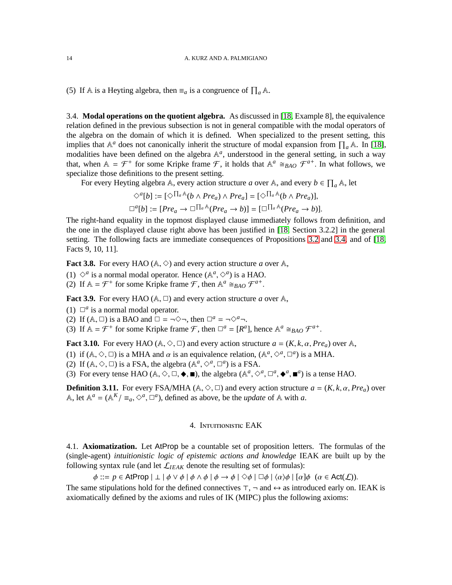(5) If A is a Heyting algebra, then  $\equiv_a$  is a congruence of  $\prod_a A$ .

3.4. **Modal operations on the quotient algebra.** As discussed in [\[18,](#page-29-0) Example 8], the equivalence relation defined in the previous subsection is not in general compatible with the modal operators of the algebra on the domain of which it is defined. When specialized to the present setting, this implies that  $\mathbb{A}^a$  does not canonically inherit the structure of modal expansion from  $\prod_a \mathbb{A}$ . In [\[18\]](#page-29-0), modalities have been defined on the algebra  $A^a$ , understood in the general setting, in such a way that, when  $A = \mathcal{F}^+$  for some Kripke frame  $\mathcal{F}$ , it holds that  $A^a \cong_{BAO} \mathcal{F}^{a^+}$ . In what follows, we specialize those definitions to the present setting.

For every Heyting algebra A, every action structure *a* over A, and every  $b \in \prod_a A$ , let

$$
\diamond^{a}[b] := [\diamond^{\prod_{a} A}(b \wedge Pre_{a}) \wedge Pre_{a}] = [\diamond^{\prod_{a} A}(b \wedge Pre_{a})],
$$
  

$$
\Box^{a}[b] := [Pre_{a} \rightarrow \Box^{\prod_{a} A}(Pre_{a} \rightarrow b)] = [\Box^{\prod_{a} A}(Pre_{a} \rightarrow b)].
$$

The right-hand equality in the topmost displayed clause immediately follows from definition, and the one in the displayed clause right above has been justified in [\[18,](#page-29-0) Section 3.2.2] in the general setting. The following facts are immediate consequences of Propositions [3.2](#page-12-1) and [3.4,](#page-12-2) and of [\[18,](#page-29-0) Facts 9, 10, 11].

**Fact 3.8.** For every HAO ( $A$ ,  $\diamond$ ) and every action structure *a* over  $A$ ,

(1)  $\Diamond^a$  is a normal modal operator. Hence  $(\mathbb{A}^a, \Diamond^a)$  is a HAO.

(2) If  $A = \mathcal{F}^+$  for some Kripke frame  $\mathcal{F}$ , then  $A^a \cong_{BAO} \mathcal{F}^{a^+}$ .

**Fact 3.9.** For every HAO ( $\mathbb{A}$ ,  $\Box$ ) and every action structure *a* over  $\mathbb{A}$ ,

- (1)  $\square^a$  is a normal modal operator.
- (2) If ( $\mathbb{A}, \Box$ ) is a BAO and  $\Box = \neg \Diamond \neg$ , then  $\Box^a = \neg \Diamond^a \neg$ .

(3) If  $A = \mathcal{F}^+$  for some Kripke frame  $\mathcal{F}$ , then  $\Box^a = [R^a]$ , hence  $A^a \cong_{BAO} \mathcal{F}^{a+}$ .

**Fact 3.10.** For every HAO ( $A, \Diamond, \Box$ ) and every action structure  $a = (K, k, \alpha, Pre_a)$  over A,

- (1) if  $(A, \Diamond, \Box)$  is a MHA and  $\alpha$  is an equivalence relation,  $(A^{\alpha}, \Diamond^{\alpha}, \Box^{\alpha})$  is a MHA.
- (2) If  $(A, \Diamond, \Box)$  is a FSA, the algebra  $(A^a, \Diamond^a, \Box^a)$  is a FSA.

(3) For every tense HAO ( $\mathbb{A}, \Diamond, \Box, \blacklozenge, \blacksquare$ ), the algebra ( $\mathbb{A}^a, \Diamond^a, \Box^a, \blacklozenge^a, \blacksquare^a$ ) is a tense HAO.

<span id="page-15-1"></span>**Definition 3.11.** For every FSA/MHA ( $A, \Diamond, \Box$ ) and every action structure  $a = (K, k, \alpha, Pre_a)$  over A, let  $\mathbb{A}^a = (\mathbb{A}^K / \equiv_a, \Diamond^a, \Box^a)$ , defined as above, be the *update* of A with *a*.

## 4. Intuitionistic EAK

<span id="page-15-0"></span>4.1. **Axiomatization.** Let AtProp be a countable set of proposition letters. The formulas of the (single-agent) *intuitionistic logic of epistemic actions and knowledge* IEAK are built up by the following syntax rule (and let  $\mathcal{L}_{IEAK}$  denote the resulting set of formulas):

 $\phi ::= p \in \mathsf{AtProp} \mid \bot \mid \phi \vee \phi \mid \phi \wedge \phi \mid \phi \rightarrow \phi \mid \Diamond \phi \mid \Box \phi \mid \langle \alpha \rangle \phi \mid [\alpha] \phi \ (\alpha \in \mathsf{Act}(\mathcal{L})).$ 

The same stipulations hold for the defined connectives  $\top$ ,  $\neg$  and  $\leftrightarrow$  as introduced early on. IEAK is axiomatically defined by the axioms and rules of IK (MIPC) plus the following axioms: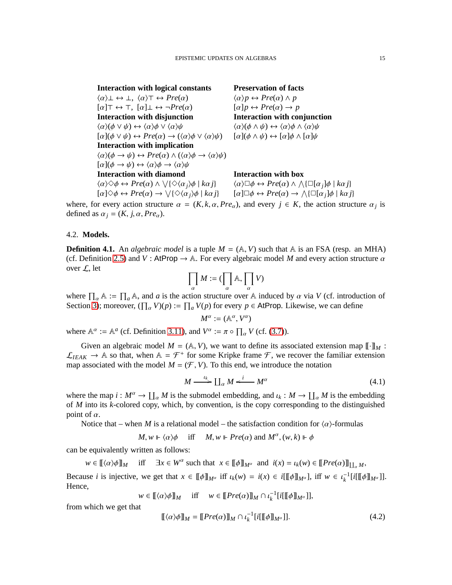**Interaction with logical constants Preservation of facts**  $\langle \alpha \rangle \bot \leftrightarrow \bot$ ,  $\langle \alpha \rangle \top \leftrightarrow Pre(\alpha)$   $\langle \alpha \rangle p \leftrightarrow Pre(\alpha) \land p$  $[\alpha] \top \leftrightarrow \top$ ,  $[\alpha] \bot \leftrightarrow \neg Pre(\alpha)$   $[\alpha] p \leftrightarrow Pre(\alpha) \rightarrow p$ **Interaction with disjunction Interaction with conjunction**  $\langle \alpha \rangle$ ( $\phi \lor \psi$ )  $\leftrightarrow \langle \alpha \rangle$  $\phi \lor \langle \alpha \rangle \psi$  has  $\langle \alpha \rangle$   $\langle \phi \land \psi \rangle \leftrightarrow \langle \alpha \rangle$  $[\alpha](\phi \lor \psi) \leftrightarrow Pre(\alpha) \rightarrow (\langle \alpha \rangle \phi \lor \langle \alpha \rangle \psi) \quad [\alpha](\phi \land \psi) \leftrightarrow [\alpha]\phi \land [\alpha]\psi$ **Interaction with implication**  $\langle \alpha \rangle (\phi \to \psi) \leftrightarrow Pre(\alpha) \wedge (\langle \alpha \rangle \phi \to \langle \alpha \rangle \psi)$  $\lbrack \alpha \rbrack (\phi \rightarrow \psi) \leftrightarrow \langle \alpha \rangle \phi \rightarrow \langle \alpha \rangle \psi$ **Interaction with diamond Interaction with box**  $\langle \alpha \rangle \Diamond \phi \leftrightarrow Pre(\alpha) \land \sqrt{\langle \Diamond \langle \alpha_j \rangle \phi \mid k\alpha_j \rangle} \qquad \langle \alpha \rangle \Box \phi \leftrightarrow Pre(\alpha) \land$  $[\alpha] \Diamond \phi \leftrightarrow \text{Pre}(\alpha) \rightarrow \bigvee$ 

$$
\diamondsuit(\alpha_j)\phi \mid k\alpha j \rbrace \qquad \langle \alpha \rangle \Box \phi \leftrightarrow Pre(\alpha) \land \bigwedge \{ \Box[\alpha_j] \phi \mid k\alpha j \} \{\diamondsuit(\alpha_j)\phi \mid k\alpha j \} \qquad [\alpha] \Box \phi \leftrightarrow Pre(\alpha) \to \bigwedge \{ \Box[\alpha_j] \phi \mid k\alpha j \}
$$

where, for every action structure  $\alpha = (K, k, \alpha, Pre_{\alpha})$ , and every  $j \in K$ , the action structure  $\alpha_j$  is defined as  $\alpha_j = (K, j, \alpha, Pre_\alpha)$ .

#### <span id="page-16-0"></span>4.2. **Models.**

<span id="page-16-3"></span>**Definition 4.1.** An *algebraic model* is a tuple  $M = (A, V)$  such that A is an FSA (resp. an MHA) (cf. Definition [2.5\)](#page-9-0) and *V* : AtProp  $\rightarrow \mathbb{A}$ . For every algebraic model *M* and every action structure  $\alpha$ over L, let

$$
\prod_{\alpha} M := (\prod_{\alpha} \mathbb{A}, \prod_{\alpha} V)
$$

where  $\prod_{\alpha} A := \prod_{\alpha} A$ , and *a* is the action structure over A induced by  $\alpha$  via *V* (cf. introduction of Section [3\)](#page-10-0); moreover,  $(\prod_{\alpha} V)(p) := \prod_{\alpha} V(p)$  for every  $p \in$  AtProp. Likewise, we can define

$$
M^\alpha:=(\mathbb{A}^\alpha,V^\alpha)
$$

where  $\mathbb{A}^{\alpha} := \mathbb{A}^{\alpha}$  (cf. Definition [3.11\)](#page-15-1), and  $V^{\alpha} := \pi \circ \prod_{\alpha} V$  (cf. [\(3.7\)](#page-14-2)).

Given an algebraic model  $M = (A, V)$ , we want to define its associated extension map  $[\![\cdot]\!]_M$ :  $\mathcal{L}_{IEAK} \to \mathbb{A}$  so that, when  $\mathbb{A} = \mathcal{F}^+$  for some Kripke frame  $\mathcal{F}$ , we recover the familiar extension map associated with the model  $M = (\mathcal{F}, V)$ . To this end, we introduce the notation

<span id="page-16-1"></span>
$$
M \xrightarrow{\iota_k} \coprod_{\alpha} M \xleftarrow{i} M^{\alpha} \tag{4.1}
$$

where the map  $i : M^{\alpha} \to \coprod_{\alpha} M$  is the submodel embedding, and  $\iota_k : M \to \coprod_{\alpha} M$  is the embedding of *M* into its *k*-colored copy, which, by convention, is the copy corresponding to the distinguished point of  $\alpha$ .

Notice that – when *M* is a relational model – the satisfaction condition for  $\langle \alpha \rangle$ -formulas

 $M, w \Vdash \langle \alpha \rangle \phi$  iff  $M, w \Vdash Pre(\alpha)$  and  $M^{\alpha}, (w, k) \Vdash \phi$ 

can be equivalently written as follows:

 $w \in [[(\alpha)\phi]]_M$  iff  $\exists x \in W^\alpha$  such that  $x \in [[\![\phi]\!]_{M^\alpha}$  and  $i(x) = i_k(w) \in [[\![Pre(\alpha)]\!]_{[\![a]^M},$ 

Because *i* is injective, we get that  $x \in [\![\phi]\!]_{M^{\alpha}}$  iff  $\iota_k(w) = \iota(x) \in i[[\![\phi]\!]_{M^{\alpha}}]$ , iff  $w \in \iota_k^{-1}[\![i[[\![\phi]\!]_{M^{\alpha}}]$ . Hence,

 $w \in [[\langle \alpha \rangle \phi]]_M$  iff  $w \in [[Pre(\alpha)]]_M \cap \iota_k^{-1}[i[[\phi]]_{M^{\alpha}}]],$ 

from which we get that

<span id="page-16-2"></span>
$$
\llbracket \langle \alpha \rangle \phi \rrbracket_M = \llbracket \text{Pre}(\alpha) \rrbracket_M \cap \iota_k^{-1} \llbracket i \llbracket \phi \rrbracket_{M^{\alpha}} \rrbracket]. \tag{4.2}
$$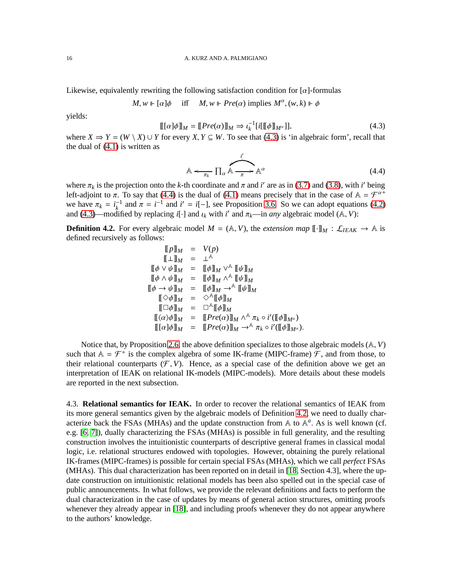Likewise, equivalently rewriting the following satisfaction condition for  $\lceil \alpha \rceil$ -formulas

$$
M, w \Vdash [\alpha]\phi
$$
 iff  $M, w \Vdash Pre(\alpha)$  implies  $M^{\alpha}, (w, k) \Vdash \phi$ 

yields:

<span id="page-17-1"></span>
$$
[[[\alpha]\phi]]_M = [[Pre(\alpha)]]_M \Rightarrow \iota_k^{-1}[i[[\phi]]_{M^{\alpha}}]], \tag{4.3}
$$

where  $X \Rightarrow Y = (W \setminus X) \cup Y$  for every *X*,  $Y \subseteq W$ . To see that [\(4.3\)](#page-17-1) is 'in algebraic form', recall that the dual of  $(4.1)$  is written as

<span id="page-17-2"></span>
$$
\mathbb{A} \leftarrow_{\pi_k} \prod_{\alpha} \mathbb{A} \xrightarrow{\overrightarrow{r}} \mathbb{A}^{\alpha} \tag{4.4}
$$

where  $\pi_k$  is the projection onto the *k*-th coordinate and  $\pi$  and *i*' are as in [\(3.7\)](#page-14-2) and [\(3.8\)](#page-14-3), with *i*' being left-adjoint to  $\pi$ . To say that [\(4.4\)](#page-17-2) is the dual of [\(4.1\)](#page-16-1) means precisely that in the case of  $A = \mathcal{F}^{\alpha+}$ we have  $\pi_k = i_k^{-1}$  and  $\pi = i^{-1}$  and  $i' = i[-]$ , see Proposition [3.6.](#page-14-1) So we can adopt equations [\(4.2\)](#page-16-2) and [\(4.3\)](#page-17-1)—modified by replacing *i*[·] and  $\iota_k$  with *i*' and  $\pi_k$ —in *any* algebraic model (A, *V*):

<span id="page-17-0"></span>**Definition 4.2.** For every algebraic model  $M = (A, V)$ , the *extension map*  $[\![\cdot]\!]_M : \mathcal{L}_{IEAK} \to \mathbb{A}$  is defined recursively as follows:

$$
\begin{array}{rcl}\n\llbracket p \rrbracket_M & = & V(p) \\
\llbracket \bot \rrbracket_M & = & \bot^{\mathbb{A}} \\
\llbracket \phi \lor \psi \rrbracket_M & = & \llbracket \phi \rrbracket_M \lor^{\mathbb{A}} \llbracket \psi \rrbracket_M \\
\llbracket \phi \land \psi \rrbracket_M & = & \llbracket \phi \rrbracket_M \land^{\mathbb{A}} \llbracket \psi \rrbracket_M \\
\llbracket \phi \to \psi \rrbracket_M & = & \llbracket \phi \rrbracket_M \land^{\mathbb{A}} \llbracket \psi \rrbracket_M \\
\llbracket \Diamond \neg \psi \rrbracket_M & = & \llbracket \phi \rrbracket_M \rightarrow^{\mathbb{A}} \llbracket \psi \rrbracket_M \\
\llbracket \Box \phi \rrbracket_M & = & \Box^{\mathbb{A}} \llbracket \phi \rrbracket_M \\
\llbracket \Box \phi \rrbracket_M & = & \Box^{\mathbb{A}} \llbracket \phi \rrbracket_M \\
\llbracket (\alpha) \phi \rrbracket_M & = & \llbracket \text{Pre}(\alpha) \rrbracket_M \land^{\mathbb{A}} \pi_k \circ i' (\llbracket \phi \rrbracket_{M^\alpha}) \\
\llbracket [\alpha] \phi \rrbracket_M & = & \llbracket \text{Pre}(\alpha) \rrbracket_M \rightarrow^{\mathbb{A}} \pi_k \circ i' (\llbracket \phi \rrbracket_{M^\alpha}).\n\end{array}
$$

Notice that, by Proposition [2.6,](#page-9-1) the above definition specializes to those algebraic models (A, *V*) such that  $A = \mathcal{F}^+$  is the complex algebra of some IK-frame (MIPC-frame)  $\mathcal{F}$ , and from those, to their relational counterparts  $(F, V)$ . Hence, as a special case of the definition above we get an interpretation of IEAK on relational IK-models (MIPC-models). More details about these models are reported in the next subsection.

4.3. **Relational semantics for IEAK.** In order to recover the relational semantics of IEAK from its more general semantics given by the algebraic models of Definition [4.2,](#page-17-0) we need to dually characterize back the FSAs (MHAs) and the update construction from A to A *a* . As is well known (cf. e.g. [\[6,](#page-29-8) [7\]](#page-29-9)), dually characterizing the FSAs (MHAs) is possible in full generality, and the resulting construction involves the intuitionistic counterparts of descriptive general frames in classical modal logic, i.e. relational structures endowed with topologies. However, obtaining the purely relational IK-frames (MIPC-frames) is possible for certain special FSAs (MHAs), which we call *perfect* FSAs (MHAs). This dual characterization has been reported on in detail in [\[18,](#page-29-0) Section 4.3], where the update construction on intuitionistic relational models has been also spelled out in the special case of public announcements. In what follows, we provide the relevant definitions and facts to perform the dual characterization in the case of updates by means of general action structures, omitting proofs whenever they already appear in [\[18\]](#page-29-0), and including proofs whenever they do not appear anywhere to the authors' knowledge.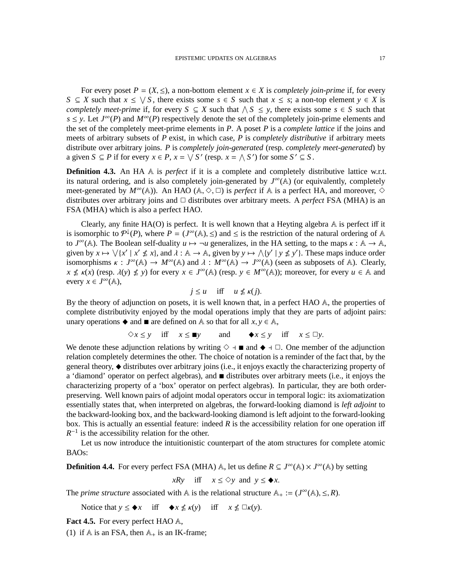For every poset  $P = (X, \leq)$ , a non-bottom element  $x \in X$  is *completely join-prime* if, for every  $S \subseteq X$  such that  $x \leq \sqrt{S}$ , there exists some  $s \in S$  such that  $x \leq s$ ; a non-top element  $y \in X$  is *completely meet-prime* if, for every  $S \subseteq X$  such that  $\land S \leq y$ , there exists some  $s \in S$  such that  $s \leq y$ . Let  $J^{\infty}(P)$  and  $M^{\infty}(P)$  respectively denote the set of the completely join-prime elements and the set of the completely meet-prime elements in *P*. A poset *P* is a *complete lattice* if the joins and meets of arbitrary subsets of *P* exist, in which case, *P* is *completely distributive* if arbitrary meets distribute over arbitrary joins. *P* is *completely join-generated* (resp. *completely meet-generated*) by a given  $S \subseteq P$  if for every  $x \in P$ ,  $x = \sqrt{S'}$  (resp.  $x = \sqrt{S'}$ ) for some  $S' \subseteq S$ .

**Definition 4.3.** An HA A is *perfect* if it is a complete and completely distributive lattice w.r.t. its natural ordering, and is also completely join-generated by  $J^{\infty}(\mathbb{A})$  (or equivalently, completely meet-generated by  $M^{\infty}(\mathbb{A})$ ). An HAO ( $\mathbb{A}, \Diamond, \Box$ ) is *perfect* if  $\mathbb{A}$  is a perfect HA, and moreover,  $\Diamond$ distributes over arbitrary joins and  $\Box$  distributes over arbitrary meets. A *perfect* FSA (MHA) is an FSA (MHA) which is also a perfect HAO.

Clearly, any finite  $HA(O)$  is perfect. It is well known that a Heyting algebra  $A$  is perfect iff it is isomorphic to  $\mathcal{P}^{\downarrow}(P)$ , where  $P = (J^{\infty}(\mathbb{A}), \leq)$  and  $\leq$  is the restriction of the natural ordering of A to  $J^{\infty}(\mathbb{A})$ . The Boolean self-duality  $u \mapsto \neg u$  generalizes, in the HA setting, to the maps  $\kappa : \mathbb{A} \to \mathbb{A}$ , given by  $x \mapsto \sqrt{x' \mid x' \nleq x}$ , and  $\lambda : A \to A$ , given by  $y \mapsto \sqrt{y' \mid y \nleq y'}$ . These maps induce order isomorphisms  $\kappa : J^{\infty}(\mathbb{A}) \to M^{\infty}(\mathbb{A})$  and  $\lambda : M^{\infty}(\mathbb{A}) \to J^{\infty}(\mathbb{A})$  (seen as subposets of A). Clearly,  $x \nleq \kappa(x)$  (resp.  $\lambda(y) \nleq y$ ) for every  $x \in J^{\infty}(\mathbb{A})$  (resp.  $y \in M^{\infty}(\mathbb{A})$ ); moreover, for every  $u \in \mathbb{A}$  and every  $x \in J^{\infty}(\mathbb{A}),$ 

$$
j \le u \quad \text{iff} \quad u \nle \kappa(j).
$$

By the theory of adjunction on posets, it is well known that, in a perfect HAO A, the properties of complete distributivity enjoyed by the modal operations imply that they are parts of adjoint pairs: unary operations  $\blacklozenge$  and  $\blacksquare$  are defined on A so that for all  $x, y \in \mathbb{A}$ ,

 $\diamondsuit x \leq y$  iff  $x \leq \blacksquare y$  and  $\blacklozenge x \leq y$  iff  $x \leq \square y$ .

We denote these adjunction relations by writing  $\diamond$  ⊣  $\blacksquare$  and  $\blacklozenge$  ⊣  $\Box$ . One member of the adjunction relation completely determines the other. The choice of notation is a reminder of the fact that, by the general theory,  $\triangleleft$  distributes over arbitrary joins (i.e., it enjoys exactly the characterizing property of a 'diamond' operator on perfect algebras), and distributes over arbitrary meets (i.e., it enjoys the characterizing property of a 'box' operator on perfect algebras). In particular, they are both orderpreserving. Well known pairs of adjoint modal operators occur in temporal logic: its axiomatization essentially states that, when interpreted on algebras, the forward-looking diamond is *left adjoint* to the backward-looking box, and the backward-looking diamond is left adjoint to the forward-looking box. This is actually an essential feature: indeed *R* is the accessibility relation for one operation iff  $R^{-1}$  is the accessibility relation for the other.

Let us now introduce the intuitionistic counterpart of the atom structures for complete atomic BAOs:

**Definition 4.4.** For every perfect FSA (MHA)  $\mathbb{A}$ , let us define  $R \subseteq J^{\infty}(\mathbb{A}) \times J^{\infty}(\mathbb{A})$  by setting

*xRy* iff  $x \le \Diamond y$  and  $y \le \blacklozenge x$ .

The *prime structure* associated with A is the relational structure  $A_+ := (J^{\infty}(A), \leq, R)$ .

Notice that  $y \leq \blacklozenge x$  iff  $\blacklozenge x \nleq \kappa(y)$  iff  $x \nleq \Box \kappa(y)$ .

**Fact 4.5.** For every perfect HAO A,

(1) if  $A$  is an FSA, then  $A_+$  is an IK-frame;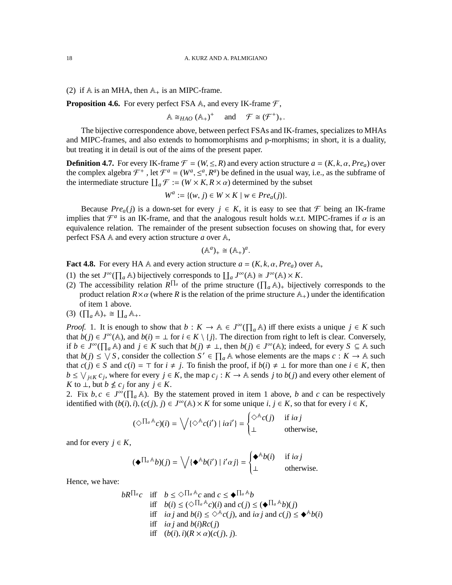(2) if  $A$  is an MHA, then  $A_+$  is an MIPC-frame.

**Proposition 4.6.** For every perfect FSA  $\mathbb{A}$ , and every IK-frame  $\mathcal{F}$ ,

$$
\mathbb{A} \cong_{HAO} (\mathbb{A}_+)^+ \quad \text{and} \quad \mathcal{F} \cong (\mathcal{F}^+)_+.
$$

The bijective correspondence above, between perfect FSAs and IK-frames, specializes to MHAs and MIPC-frames, and also extends to homomorphisms and p-morphisms; in short, it is a duality, but treating it in detail is out of the aims of the present paper.

**Definition 4.7.** For every IK-frame  $\mathcal{F} = (W, \leq, R)$  and every action structure  $a = (K, k, \alpha, Pre_a)$  over the complex algebra  $\mathcal{F}^+$ , let  $\mathcal{F}^a = (W^a, \leq^a, R^a)$  be defined in the usual way, i.e., as the subframe of the intermediate structure  $\prod_a \mathcal{F} := (W \times K, R \times \alpha)$  determined by the subset

$$
W^a := \{(w, j) \in W \times K \mid w \in Pre_a(j)\}.
$$

Because  $Pre_a(j)$  is a down-set for every  $j \in K$ , it is easy to see that  $\mathcal F$  being an IK-frame implies that  $\mathcal{F}^a$  is an IK-frame, and that the analogous result holds w.r.t. MIPC-frames if  $\alpha$  is an equivalence relation. The remainder of the present subsection focuses on showing that, for every perfect FSA A and every action structure *a* over A,

$$
(\mathbb{A}^a)_+ \cong (\mathbb{A}_+)^a.
$$

**Fact 4.8.** For every HA A and every action structure  $a = (K, k, \alpha, Pre_a)$  over A,

- (1) the set  $J^{\infty}(\prod_a \mathbb{A})$  bijectively corresponds to  $\prod_a J^{\infty}(\mathbb{A}) \cong J^{\infty}(\mathbb{A}) \times K$ .
- (2) The accessibility relation  $R^{\prod_a}$  of the prime structure  $(\prod_a A)_+$  bijectively corresponds to the product relation  $R \times \alpha$  (where R is the relation of the prime structure  $\mathbb{A}_+$ ) under the identification of item 1 above.
- $(3)$   $(\prod_a \mathbb{A})_+ \cong \prod_a \mathbb{A}_+.$

*Proof.* 1. It is enough to show that  $b: K \to \mathbb{A} \in J^{\infty}(\prod_a \mathbb{A})$  iff there exists a unique  $j \in K$  such that  $b(j) \in J^{\infty}(\mathbb{A})$ , and  $b(i) = \perp$  for  $i \in K \setminus \{j\}$ . The direction from right to left is clear. Conversely, if *b* ∈ *J*<sup>∞</sup>( $\prod_a$  A) and *j* ∈ *K* such that *b*(*j*)  $\neq \bot$ , then *b*(*j*) ∈ *J*<sup>∞</sup>(A); indeed, for every *S* ⊆ A such that  $b(j) \le \sqrt{S}$ , consider the collection  $S' \in \prod_a \mathbb{A}$  whose elements are the maps  $c : K \to \mathbb{A}$  such that *c*(*j*) ∈ *S* and *c*(*i*) = ⊤ for *i* ≠ *j*. To finish the proof, if *b*(*i*) ≠ ⊥ for more than one *i* ∈ *K*, then *b* ≤  $\vee$ <sub>*j*∈*K*</sub> *c*<sub>*j*</sub>, where for every *j* ∈ *K*, the map *c*<sub>*j*</sub> : *K* → A sends *j* to *b*(*j*) and every other element of *K* to ⊥, but *b*  $\nleq c_j$  for any *j* ∈ *K*.

2. Fix  $b, c \in J^{\infty}(\prod_a A)$ . By the statement proved in item 1 above, *b* and *c* can be respectively identified with  $(b(i), i), (c(j), j) \in J^\infty(\mathbb{A}) \times K$  for some unique  $i, j \in K$ , so that for every  $i \in K$ ,

$$
(\Diamond^{\prod_a A} c)(i) = \bigvee \{ \Diamond^{\mathbb{A}} c(i') \mid i\alpha i'\} = \begin{cases} \Diamond^{\mathbb{A}} c(j) & \text{if } i\alpha j \\ \bot & \text{otherwise,} \end{cases}
$$

and for every  $j \in K$ ,

$$
(\blacklozenge^{\prod_a \mathbb{A}} b)(j) = \bigvee \{ \blacklozenge^{\mathbb{A}} b(i') \mid i' \alpha j \} = \begin{cases} \blacklozenge^{\mathbb{A}} b(i) & \text{if } i \alpha j \\ \bot & \text{otherwise.} \end{cases}
$$

Hence, we have:

$$
bR^{\prod_{a}}c \quad \text{iff} \quad b \leq \diamond \prod_{a} A_{c} \text{ and } c \leq \blacklozenge \prod_{a} A_{b}
$$
\n
$$
\text{iff} \quad b(i) \leq (\diamond \prod_{a} A_{c})(i) \text{ and } c(j) \leq (\blacklozenge \prod_{a} A_{b})(j)
$$
\n
$$
\text{iff} \quad i\alpha j \text{ and } b(i) \leq \diamond^{A} c(j), \text{ and } i\alpha j \text{ and } c(j) \leq \blacklozenge^{A} b(i)
$$
\n
$$
\text{iff} \quad i\alpha j \text{ and } b(i)Rc(j)
$$
\n
$$
\text{iff} \quad (b(i), i)(R \times \alpha)(c(j), j).
$$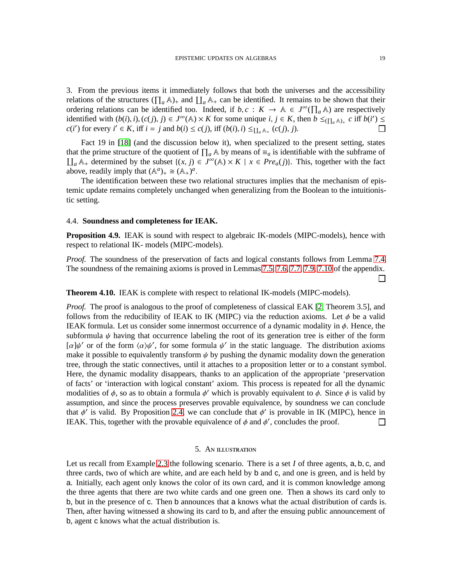3. From the previous items it immediately follows that both the universes and the accessibility relations of the structures  $(\prod_a A)_+$  and  $\prod_a A_+$  can be identified. It remains to be shown that their ordering relations can be identified too. Indeed, if  $b, c : K \to \mathbb{A} \in J^{\infty}(\prod_a \mathbb{A})$  are respectively identified with  $(b(i), i), (c(j), j) \in J^{\infty}(\mathbb{A}) \times K$  for some unique  $i, j \in K$ , then  $b \leq_{(\prod_a \mathbb{A})_+} c$  iff  $b(i') \leq$ *c*(*i*<sup> $\prime$ </sup>) for every *i*<sup> $\prime$ </sup> ∈ *K*, iff *i* = *j* and *b*(*i*) ≤ *c*(*j*), iff (*b*(*i*), *i*) ≤<sub>LL<sub>a</sub>∆<sub>+</sub> (*c*(*j*), *j*).</sub> П

Fact 19 in [\[18\]](#page-29-0) (and the discussion below it), when specialized to the present setting, states that the prime structure of the quotient of  $\prod_a \mathbb{A}$  by means of  $\equiv_a$  is identifiable with the subframe of  $\iint_a$  A<sub>+</sub> determined by the subset {(*x*, *j*) ∈ *J*<sup>∞</sup>(A) × *K* | *x* ∈ *Pre<sub>a</sub>*(*j*)}. This, together with the fact above, readily imply that  $(\mathbb{A}^a)_+ \cong (\mathbb{A}_+)^a$ .

The identification between these two relational structures implies that the mechanism of epistemic update remains completely unchanged when generalizing from the Boolean to the intuitionistic setting.

### 4.4. **Soundness and completeness for IEAK.**

<span id="page-20-1"></span>**Proposition 4.9.** IEAK is sound with respect to algebraic IK-models (MIPC-models), hence with respect to relational IK- models (MIPC-models).

*Proof.* The soundness of the preservation of facts and logical constants follows from Lemma [7.4.](#page-25-0) The soundness of the remaining axioms is proved in Lemmas [7.5,](#page-26-0) [7.6,](#page-26-1) [7.7,](#page-27-0) [7.9,](#page-27-1) [7.10](#page-28-0) of the appendix.  $\Box$ 

**Theorem 4.10.** IEAK is complete with respect to relational IK-models (MIPC-models).

*Proof.* The proof is analogous to the proof of completeness of classical EAK [\[2,](#page-29-1) Theorem 3.5], and follows from the reducibility of IEAK to IK (MIPC) via the reduction axioms. Let  $\phi$  be a valid IEAK formula. Let us consider some innermost occurrence of a dynamic modality in  $\phi$ . Hence, the subformula  $\psi$  having that occurrence labeling the root of its generation tree is either of the form [ $\alpha$ ] $\psi'$  or of the form  $\langle \alpha \rangle \psi'$ , for some formula  $\psi'$  in the static language. The distribution axioms make it possible to equivalently transform  $\psi$  by pushing the dynamic modality down the generation tree, through the static connectives, until it attaches to a proposition letter or to a constant symbol. Here, the dynamic modality disappears, thanks to an application of the appropriate 'preservation of facts' or 'interaction with logical constant' axiom. This process is repeated for all the dynamic modalities of  $\phi$ , so as to obtain a formula  $\phi'$  which is provably equivalent to  $\phi$ . Since  $\phi$  is valid by assumption, and since the process preserves provable equivalence, by soundness we can conclude that  $\phi'$  is valid. By Proposition [2.4,](#page-9-2) we can conclude that  $\phi'$  is provable in IK (MIPC), hence in IEAK. This, together with the provable equivalence of  $\phi$  and  $\phi'$ , concludes the proof.  $\Box$ 

### 5. An illustration

<span id="page-20-0"></span>Let us recall from Example [2.3](#page-6-0) the following scenario. There is a set *I* of three agents, a, b, c, and three cards, two of which are white, and are each held by b and c, and one is green, and is held by a. Initially, each agent only knows the color of its own card, and it is common knowledge among the three agents that there are two white cards and one green one. Then a shows its card only to b, but in the presence of c. Then b announces that a knows what the actual distribution of cards is. Then, after having witnessed a showing its card to b, and after the ensuing public announcement of b, agent c knows what the actual distribution is.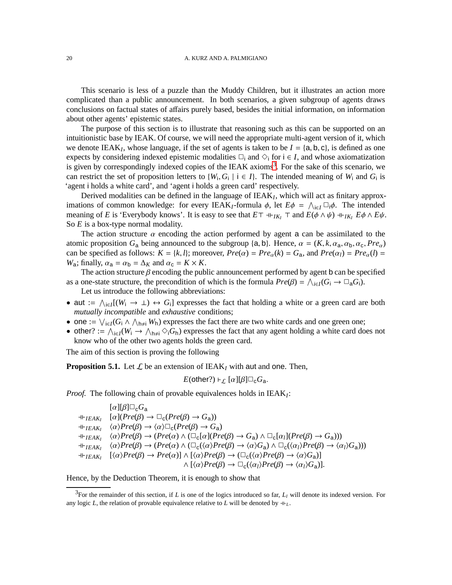This scenario is less of a puzzle than the Muddy Children, but it illustrates an action more complicated than a public announcement. In both scenarios, a given subgroup of agents draws conclusions on factual states of affairs purely based, besides the initial information, on information about other agents' epistemic states.

The purpose of this section is to illustrate that reasoning such as this can be supported on an intuitionistic base by IEAK. Of course, we will need the appropriate multi-agent version of it, which we denote IEA $K_I$ , whose language, if the set of agents is taken to be  $I = \{a, b, c\}$ , is defined as one expects by considering indexed epistemic modalities  $\Box_i$  and  $\diamond_i$  for  $i \in I$ , and whose axiomatization is given by correspondingly indexed copies of the IEAK axioms<sup>[3](#page-21-0)</sup>. For the sake of this scenario, we can restrict the set of proposition letters to  $\{W_i, G_i \mid i \in I\}$ . The intended meaning of  $W_i$  and  $G_i$  is 'agent i holds a white card', and 'agent i holds a green card' respectively.

Derived modalities can be defined in the language of IEAK*<sup>I</sup>* , which will act as finitary approximations of common knowledge: for every IEAK<sub>I</sub>-formula  $\phi$ , let  $E\phi = \bigwedge_{i \in I} \Box_i \phi$ . The intended meaning of *E* is 'Everybody knows'. It is easy to see that  $E\top \dashv_{IK_I} \top$  and  $E(\phi \land \psi) \dashv_{IK_I} E\phi \land E\psi$ . So *E* is a box-type normal modality.

The action structure  $\alpha$  encoding the action performed by agent a can be assimilated to the atomic proposition  $G_a$  being announced to the subgroup {a, b}. Hence,  $\alpha = (K, k, \alpha_a, \alpha_b, \alpha_c, Pre_\alpha)$ can be specified as follows:  $K = \{k, l\}$ ; moreover,  $Pre(\alpha) = Pre_{\alpha}(k) = G_{a}$ , and  $Pre(\alpha_{l}) = Pre_{\alpha}(l) =$ *W*<sub>a</sub>; finally,  $\alpha_a = \alpha_b = \Delta_K$  and  $\alpha_c = K \times K$ .

The action structure  $\beta$  encoding the public announcement performed by agent b can be specified as a one-state structure, the precondition of which is the formula  $Pre(\beta) = \bigwedge_{i \in I} (G_i \to \Box_a G_i)$ .

Let us introduce the following abbreviations:

- aut  $:= \bigwedge_{i \in I} [(W_i \to \bot) \leftrightarrow G_i]$  expresses the fact that holding a white or a green card are both *mutually incompatible* and *exhaustive* conditions;
- one :=  $\bigvee_{i \in I} (G_i \land \bigwedge_{h \neq i} W_h)$  expresses the fact there are two white cards and one green one;
- other? :=  $\bigwedge_{i \in I} (W_i \rightarrow \bigwedge_{h \neq i} \bigotimes_i G_h)$  expresses the fact that any agent holding a white card does not know who of the other two agents holds the green card.

The aim of this section is proving the following

**Proposition 5.1.** Let  $\mathcal{L}$  be an extension of IEAK<sub>I</sub> with aut and one. Then,

*E*(other?) ⊦<sub>L</sub> [ $\alpha$ ][ $\beta$ ] $\Box_c G_a$ .

*Proof.* The following chain of provable equivalences holds in IEAK*<sup>I</sup>* :

 $\lbrack \alpha \rbrack \lbrack \beta \rbrack \Box_c G_a$  $\Pi_{\text{EAK}_I}$   $[\alpha](\text{Pre}(\beta) \to \Box_c(\text{Pre}(\beta) \to G_a))$  $\exists \vdash_{IEAK_I} \quad \langle \alpha \rangle Pre(\beta) \rightarrow \langle \alpha \rangle \Box_c(Pre(\beta) \rightarrow G_a)$  $\exists \vdash_{\textit{IEAK}_I} \quad \langle \alpha \rangle \textit{Pre}(\beta) \rightarrow (\textit{Pre}(\alpha) \land (\Box_c[\alpha](\textit{Pre}(\beta) \rightarrow G_a) \land \Box_c[\alpha_I](\textit{Pre}(\beta) \rightarrow G_a)))$  $\exists \vdash_{IEAK_I} \quad \langle \alpha \rangle Pre(\beta) \rightarrow (Pre(\alpha) \land (\Box_{c}(\langle \alpha \rangle Pre(\beta) \rightarrow \langle \alpha \rangle G_a) \land \Box_{c}(\langle \alpha_I \rangle Pre(\beta) \rightarrow \langle \alpha_I \rangle G_a)))$  $\Pi_{HEAKI}$   $[\langle \alpha \rangle Pre(\beta) \rightarrow Pre(\alpha)] \wedge [\langle \alpha \rangle Pre(\beta) \rightarrow (\Box_{\mathsf{C}}(\langle \alpha \rangle Pre(\beta) \rightarrow \langle \alpha \rangle G_{\mathsf{a}})]$  $\land$   $\lceil \langle \alpha \rangle Pre(\beta) \rightarrow \Box_c(\langle \alpha_l \rangle Pre(\beta) \rightarrow \langle \alpha_l \rangle G_a) \rceil.$ 

Hence, by the Deduction Theorem, it is enough to show that

<span id="page-21-0"></span> $3$ For the remainder of this section, if *L* is one of the logics introduced so far,  $L_I$  will denote its indexed version. For any logic *L*, the relation of provable equivalence relative to *L* will be denoted by  $+_{L}$ .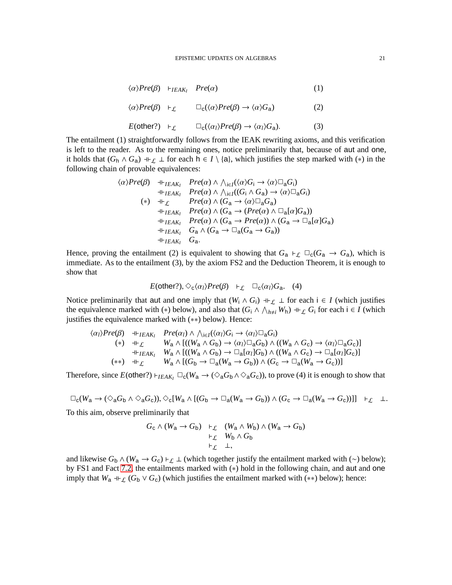$$
\langle \alpha \rangle Pre(\beta) \quad \vdash_{IEAK_I} \quad Pre(\alpha) \tag{1}
$$

$$
\langle \alpha \rangle Pre(\beta) +_{\mathcal{L}} \qquad \Box_{\mathsf{c}}(\langle \alpha \rangle Pre(\beta) \to \langle \alpha \rangle G_{\mathsf{a}}) \tag{2}
$$

$$
E(\text{other?}) \quad \vdash_{\mathcal{L}} \qquad \Box_{\mathbf{c}}(\langle \alpha_l \rangle Pre(\beta) \to \langle \alpha_l \rangle G_{\mathbf{a}}). \tag{3}
$$

The entailment (1) straightforwardly follows from the IEAK rewriting axioms, and this verification is left to the reader. As to the remaining ones, notice preliminarily that, because of aut and one, it holds that  $(G_h \wedge G_a) +_{\mathcal{L}} \perp$  for each  $h \in I \setminus \{a\}$ , which justifies the step marked with (\*) in the following chain of provable equivalences:

hαi*Pre*(β) ⊣⊢*IEAK<sup>I</sup> Pre*(α) ∧ V i∈*I* (hαi*G*<sup>i</sup> → hαi✷a*G*i) ⊣⊢*IEAK<sup>I</sup> Pre*(α) ∧ V i∈*I* ((*G*<sup>i</sup> ∧ *G*a) → hαi✷a*G*i) (∗) ⊣⊢<sup>L</sup> *Pre*(α) ∧ (*G*<sup>a</sup> → hαi✷a*G*a) ⊣⊢*IEAK<sup>I</sup> Pre*(α) ∧ (*G*<sup>a</sup> → (*Pre*(α) ∧ ✷a[α]*G*a)) ⊣⊢*IEAK<sup>I</sup> Pre*(α) ∧ (*G*<sup>a</sup> → *Pre*(α)) ∧ (*G*<sup>a</sup> → ✷a[α]*G*a) ⊣⊢*IEAK<sup>I</sup> G*<sup>a</sup> ∧ (*G*<sup>a</sup> → ✷a(*G*<sup>a</sup> → *G*a)) ⊣⊢*IEAK<sup>I</sup> G*a.

Hence, proving the entailment (2) is equivalent to showing that  $G_a \vdash_{\mathcal{L}} \Box_c(G_a \rightarrow G_a)$ , which is immediate. As to the entailment (3), by the axiom FS2 and the Deduction Theorem, it is enough to show that

$$
E(\text{other}?), \diamondsuit_{\text{c}}\langle \alpha_l \rangle Pre(\beta) +_{\mathcal{L}} \square_{\text{c}}\langle \alpha_l \rangle G_{\text{a}}.
$$
 (4)

Notice preliminarily that aut and one imply that  $(W_i \wedge G_i) \dashv \vdash_L \bot$  for each  $i \in I$  (which justifies the equivalence marked with (\*) below), and also that  $(G_i \wedge \bigwedge_{h \neq i} W_h) \dashv \vdash_L G_i$  for each  $i \in I$  (which justifies the equivalence marked with (∗∗) below). Hence:

$$
\langle \alpha_l \rangle Pre(\beta) \quad \text{# }_{IEAK_l} \quad Pre(\alpha_l) \land \bigwedge_{i \in I} (\langle \alpha_l \rangle G_i \to \langle \alpha_l \rangle \square_a G_i)
$$
\n
$$
(*) \quad \text{# }_{\mathcal{L}} \quad W_a \land [((W_a \land G_b) \to \langle \alpha_l \rangle \square_a G_b) \land ((W_a \land G_c) \to \langle \alpha_l \rangle \square_a G_c)]
$$
\n
$$
(*) \quad \text{# }_{IEAK_l} \quad W_a \land [((W_a \land G_b) \to \square_a [\alpha_l] G_b) \land ((W_a \land G_c) \to \square_a [\alpha_l] G_c)]
$$
\n
$$
(**) \quad \text{# }_{\mathcal{L}} \quad W_a \land [(G_b \to \square_a (W_a \to G_b)) \land (G_c \to \square_a (W_a \to G_c))]
$$

Therefore, since  $E(\text{other?}) \vdash_{IEAK_I} \Box_c(W_a \rightarrow (\Diamond_a G_b \land \Diamond_a G_c))$ , to prove (4) it is enough to show that

$$
\Box_{\mathsf{C}}(W_{\mathsf{a}} \to (\Diamond_{\mathsf{a}} G_{\mathsf{b}} \land \Diamond_{\mathsf{a}} G_{\mathsf{c}})), \Diamond_{\mathsf{c}}[W_{\mathsf{a}} \land [(G_{\mathsf{b}} \to \Box_{\mathsf{a}}(W_{\mathsf{a}} \to G_{\mathsf{b}})) \land (G_{\mathsf{c}} \to \Box_{\mathsf{a}}(W_{\mathsf{a}} \to G_{\mathsf{c}}))]] \vdash_{\mathcal{L}} \bot.
$$

To this aim, observe preliminarily that

$$
G_{\rm c} \wedge (W_{\rm a} \to G_{\rm b}) \quad \vdash_{\mathcal{L}} \quad (W_{\rm a} \wedge W_{\rm b}) \wedge (W_{\rm a} \to G_{\rm b})
$$

$$
\vdash_{\mathcal{L}} \quad W_{\rm b} \wedge G_{\rm b}
$$

$$
\vdash_{\mathcal{L}} \quad \bot,
$$

and likewise  $G_b \wedge (W_a \rightarrow G_c) \vdash_L \bot$  (which together justify the entailment marked with (∼) below); by FS1 and Fact [7.2,](#page-25-1) the entailments marked with (\*) hold in the following chain, and aut and one imply that  $W_a$  +⊢<sub>L</sub> ( $G_b \vee G_c$ ) (which justifies the entailment marked with (\*\*) below); hence: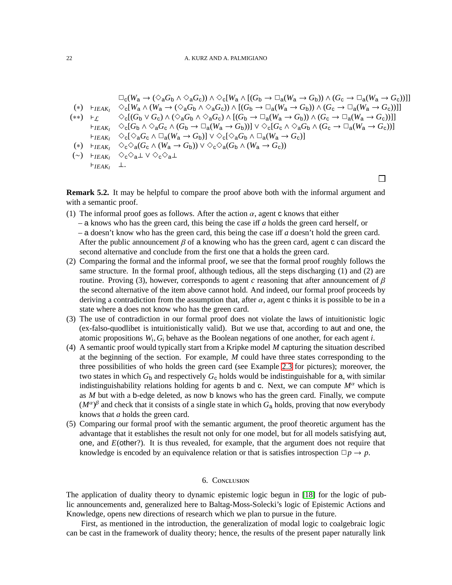$$
\Box_{c}(W_{a} \to (\Diamond_{a}G_{b} \land \Diamond_{a}G_{c})) \land \Diamond_{c}[W_{a} \land [(G_{b} \to \Box_{a}(W_{a} \to G_{b})) \land (G_{c} \to \Box_{a}(W_{a} \to G_{c}))]]
$$
\n
$$
(*) \vdash_{IEAK_{I}} \Diamond_{c}[W_{a} \land (W_{a} \to (\Diamond_{a}G_{b} \land \Diamond_{a}G_{c})) \land [(G_{b} \to \Box_{a}(W_{a} \to G_{b})) \land (G_{c} \to \Box_{a}(W_{a} \to G_{c}))]]
$$
\n
$$
(**) \vdash_{\mathcal{L}} \Diamond_{c}[(G_{b} \lor G_{c}) \land (\Diamond_{a}G_{b} \land \Diamond_{a}G_{c}) \land [(G_{b} \to \Box_{a}(W_{a} \to G_{b})) \land (G_{c} \to \Box_{a}(W_{a} \to G_{c}))]]
$$
\n
$$
\vdash_{IEAK_{I}} \Diamond_{c}[G_{b} \land \Diamond_{a}G_{c} \land (G_{b} \to \Box_{a}(W_{a} \to G_{b}))] \lor \Diamond_{c}[G_{c} \land \Diamond_{a}G_{b} \land (G_{c} \to \Box_{a}(W_{a} \to G_{c}))]
$$
\n
$$
\vdash_{IEAK_{I}} \Diamond_{c}[\Diamond_{a}G_{c} \land \Box_{a}(W_{a} \to G_{b})] \lor \Diamond_{c}[\Diamond_{a}G_{b} \land \Box_{a}(W_{a} \to G_{c})]
$$
\n
$$
(*) \vdash_{IEAK_{I}} \Diamond_{c} \Diamond_{a}(G_{c} \land (W_{a} \to G_{b})) \lor \Diamond_{c} \Diamond_{a}(G_{b} \land (W_{a} \to G_{c}))
$$
\n
$$
(*) \vdash_{IEAK_{I}} \Diamond_{c} \Diamond_{a}1 \lor \Diamond_{c} \Diamond_{a}1
$$
\n
$$
\vdash_{IEAK_{I}} \bot
$$

**Remark 5.2.** It may be helpful to compare the proof above both with the informal argument and with a semantic proof.

- (1) The informal proof goes as follows. After the action  $\alpha$ , agent c knows that either
	- a knows who has the green card, this being the case iff *a* holds the green card herself, or – a doesn't know who has the green card, this being the case iff *a* doesn't hold the green card. After the public announcement  $\beta$  of a knowing who has the green card, agent c can discard the second alternative and conclude from the first one that a holds the green card.
- (2) Comparing the formal and the informal proof, we see that the formal proof roughly follows the same structure. In the formal proof, although tedious, all the steps discharging (1) and (2) are routine. Proving (3), however, corresponds to agent *c* reasoning that after announcement of  $\beta$ the second alternative of the item above cannot hold. And indeed, our formal proof proceeds by deriving a contradiction from the assumption that, after  $\alpha$ , agent c thinks it is possible to be in a state where a does not know who has the green card.
- (3) The use of contradiction in our formal proof does not violate the laws of intuitionistic logic (ex-falso-quodlibet is intuitionistically valid). But we use that, according to aut and one, the atomic propositions *W*<sup>i</sup> , *G*<sup>i</sup> behave as the Boolean negations of one another, for each agent *i*.
- (4) A semantic proof would typically start from a Kripke model *M* capturing the situation described at the beginning of the section. For example, *M* could have three states corresponding to the three possibilities of who holds the green card (see Example [2.3](#page-6-0) for pictures); moreover, the two states in which  $G_b$  and respectively  $G_c$  holds would be indistinguishable for a, with similar indistinguishability relations holding for agents b and c. Next, we can compute  $M^{\alpha}$  which is as *M* but with a b-edge deleted, as now b knows who has the green card. Finally, we compute  $(M^{\alpha})^{\beta}$  and check that it consists of a single state in which  $G_{a}$  holds, proving that now everybody knows that *a* holds the green card.
- (5) Comparing our formal proof with the semantic argument, the proof theoretic argument has the advantage that it establishes the result not only for one model, but for all models satisfying aut, one, and *E*(other?). It is thus revealed, for example, that the argument does not require that knowledge is encoded by an equivalence relation or that is satisfies introspection  $\Box p \rightarrow p$ .

## 6. Conclusion

The application of duality theory to dynamic epistemic logic begun in [\[18\]](#page-29-0) for the logic of public announcements and, generalized here to Baltag-Moss-Solecki's logic of Epistemic Actions and Knowledge, opens new directions of research which we plan to pursue in the future.

First, as mentioned in the introduction, the generalization of modal logic to coalgebraic logic can be cast in the framework of duality theory; hence, the results of the present paper naturally link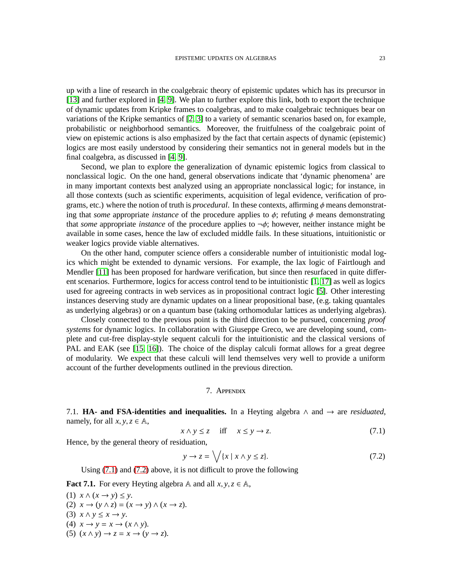up with a line of research in the coalgebraic theory of epistemic updates which has its precursor in [\[13\]](#page-29-10) and further explored in [\[4,](#page-29-11) [9\]](#page-29-12). We plan to further explore this link, both to export the technique of dynamic updates from Kripke frames to coalgebras, and to make coalgebraic techniques bear on variations of the Kripke semantics of [\[2,](#page-29-1) [3\]](#page-29-13) to a variety of semantic scenarios based on, for example, probabilistic or neighborhood semantics. Moreover, the fruitfulness of the coalgebraic point of view on epistemic actions is also emphasized by the fact that certain aspects of dynamic (epistemic) logics are most easily understood by considering their semantics not in general models but in the final coalgebra, as discussed in [\[4,](#page-29-11) [9\]](#page-29-12).

Second, we plan to explore the generalization of dynamic epistemic logics from classical to nonclassical logic. On the one hand, general observations indicate that 'dynamic phenomena' are in many important contexts best analyzed using an appropriate nonclassical logic; for instance, in all those contexts (such as scientific experiments, acquisition of legal evidence, verification of programs, etc.) where the notion of truth is *procedural*. In these contexts, affirming  $\phi$  means demonstrating that *some* appropriate *instance* of the procedure applies to  $\phi$ ; refuting  $\phi$  means demonstrating that *some* appropriate *instance* of the procedure applies to ¬φ; however, neither instance might be available in some cases, hence the law of excluded middle fails. In these situations, intuitionistic or weaker logics provide viable alternatives.

On the other hand, computer science offers a considerable number of intuitionistic modal logics which might be extended to dynamic versions. For example, the lax logic of Fairtlough and Mendler [\[11\]](#page-29-14) has been proposed for hardware verification, but since then resurfaced in quite different scenarios. Furthermore, logics for access control tend to be intuitionistic [\[1,](#page-29-15) [17\]](#page-29-16) as well as logics used for agreeing contracts in web services as in propositional contract logic [\[5\]](#page-29-17). Other interesting instances deserving study are dynamic updates on a linear propositional base, (e.g. taking quantales as underlying algebras) or on a quantum base (taking orthomodular lattices as underlying algebras).

Closely connected to the previous point is the third direction to be pursued, concerning *proof systems* for dynamic logics. In collaboration with Giuseppe Greco, we are developing sound, complete and cut-free display-style sequent calculi for the intuitionistic and the classical versions of PAL and EAK (see [\[15,](#page-29-18) [16\]](#page-29-19)). The choice of the display calculi format allows for a great degree of modularity. We expect that these calculi will lend themselves very well to provide a uniform account of the further developments outlined in the previous direction.

## 7. Appendix

7.1. **HA- and FSA-identities and inequalities.** In a Heyting algebra ∧ and → are *residuated*, namely, for all  $x, y, z \in A$ ,

<span id="page-24-0"></span>
$$
x \wedge y \le z \quad \text{iff} \quad x \le y \to z. \tag{7.1}
$$

Hence, by the general theory of residuation,

<span id="page-24-1"></span>
$$
y \to z = \bigvee \{x \mid x \land y \le z\}.
$$
 (7.2)

Using [\(7.1\)](#page-24-0) and [\(7.2\)](#page-24-1) above, it is not difficult to prove the following

<span id="page-24-2"></span>**Fact 7.1.** For every Heyting algebra A and all  $x, y, z \in A$ ,

(1)  $x \wedge (x \rightarrow y) \leq y$ . (2)  $x \rightarrow (y \land z) = (x \rightarrow y) \land (x \rightarrow z)$ . (3)  $x \wedge y \leq x \rightarrow y$ . (4)  $x \rightarrow y = x \rightarrow (x \land y)$ . (5)  $(x \wedge y) \rightarrow z = x \rightarrow (y \rightarrow z)$ .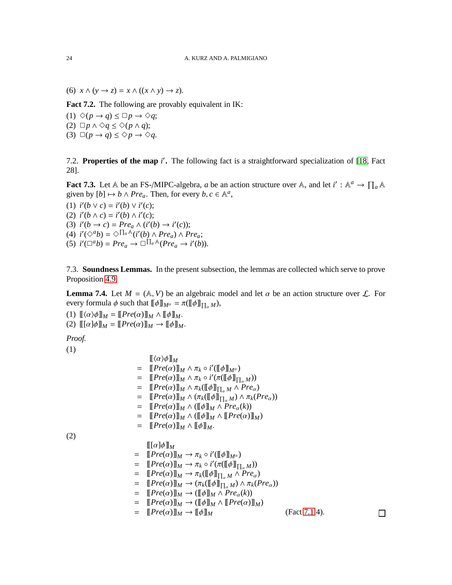(6)  $x \wedge (y \rightarrow z) = x \wedge ((x \wedge y) \rightarrow z)$ .

<span id="page-25-1"></span>**Fact 7.2.** The following are provably equivalent in IK:

 $(1) \diamond (p \rightarrow q) \leq \Box p \rightarrow \diamond q;$ (2) □ $p \land ∞q \leq ∞( p \land q);$ (3)  $\Box(p \rightarrow q) \leq \Diamond p \rightarrow \Diamond q$ .

7.2. Properties of the map *i*'. The following fact is a straightforward specialization of [\[18,](#page-29-0) Fact 28].

<span id="page-25-2"></span>**Fact 7.3.** Let A be an FS-/MIPC-algebra, *a* be an action structure over A, and let  $i' : A^a \to \prod_a A$ given by  $[b] \mapsto b \wedge Pre_a$ . Then, for every  $b, c \in \mathbb{A}^a$ ,

(1)  $i'(b \lor c) = i'(b) \lor i'(c);$ (2)  $i'(b \wedge c) = i'(b) \wedge i'(c);$ (3)  $i'(b \to c) = Pre_a \wedge (i'(b) \to i'(c));$ (4)  $i'(\Diamond^a b) = \Diamond \Pi_a \mathbb{A}(i'(b) \land Pre_a) \land Pre_a;$ (5)  $i'(\Box^a b) = Pre_a \rightarrow \Box^{\prod_a A}(Pre_a \rightarrow i'(b)).$ 

7.3. **Soundness Lemmas.** In the present subsection, the lemmas are collected which serve to prove Proposition [4.9.](#page-20-1)

<span id="page-25-0"></span>**Lemma 7.4.** Let  $M = (A, V)$  be an algebraic model and let  $\alpha$  be an action structure over  $\mathcal{L}$ . For every formula  $\phi$  such that  $[\![\phi]\!]_{M^{\alpha}} = \pi([\![\phi]\!]_{\prod_{\alpha}M})$ ,

(1)  $\llbracket \langle \alpha \rangle \phi \rrbracket_M = \llbracket \text{Pre}(\alpha) \rrbracket_M \wedge \llbracket \phi \rrbracket_M.$ (2)  $\llbracket [\alpha] \phi \rrbracket_M = \llbracket Pre(\alpha) \rrbracket_M \to \llbracket \phi \rrbracket_M.$ 

*Proof.*

(1)

$$
\begin{array}{lll}\n\llbracket \langle \alpha \rangle \phi \rrbracket_M & \\
= & \llbracket \text{Pre}(\alpha) \rrbracket_M \wedge \pi_k \circ i' (\llbracket \phi \rrbracket_{M^{\alpha}}) \\
= & \llbracket \text{Pre}(\alpha) \rrbracket_M \wedge \pi_k \circ i' (\pi (\llbracket \phi \rrbracket_{\prod_{\alpha} M})) \\
= & \llbracket \text{Pre}(\alpha) \rrbracket_M \wedge \pi_k (\llbracket \phi \rrbracket_{\prod_{\alpha} M} \wedge \text{Pre}_{\alpha}) \\
= & \llbracket \text{Pre}(\alpha) \rrbracket_M \wedge (\llbracket \phi \rrbracket_{\prod_{\alpha} M}) \wedge \pi_k (\text{Pre}_{\alpha})) \\
= & \llbracket \text{Pre}(\alpha) \rrbracket_M \wedge (\llbracket \phi \rrbracket_M \wedge \text{Pre}_{\alpha}(k)) \\
= & \llbracket \text{Pre}(\alpha) \rrbracket_M \wedge (\llbracket \phi \rrbracket_M \wedge \llbracket \text{Pre}(\alpha) \rrbracket_M) \\
= & \llbracket \text{Pre}(\alpha) \rrbracket_M \wedge (\llbracket \phi \rrbracket_M.\n\end{array}
$$

(2)

 $[\![ [\alpha]\phi]\!]_M$  $= \left[ \left[ Pre(\alpha) \right] \right]_M \rightarrow \pi_k \circ i'(\left[ \left[ \phi \right] \right]_{M^\alpha})$  $= \left[ \left[ Pre(\alpha) \right] \right]_M \to \pi_k \circ i'(\pi(\left[ \left[ \phi \right] \right]_{\prod_{\alpha} M}))$  $= \left[ \left[ Pre(\alpha) \right] \right]_M \to \pi_k(\left[ \left[ \phi \right] \right]_{\prod_{\alpha} M} \wedge Pre_{\alpha})$  $= \left[ \left[ Pre(\alpha) \right] \right]_M \rightarrow \left( \pi_k(\left[ \phi \right] \right]_{\prod_{\alpha} M}) \wedge \pi_k(Pre_\alpha) \right)$  $=$   $[Pre(\alpha)]_M \rightarrow ([\![\phi]\!]_M \wedge Pre_{\alpha}(k))$  $= \left[ \left[ Pre(\alpha) \right] \right]_M \rightarrow \left( \left[ \phi \right] \right]_M \wedge \left[ \left[ Pre(\alpha) \right] \right]_M$  $=$   $[Pre(\alpha)]_M \rightarrow [ \phi]_M$  (Fact [7.1.](#page-24-2)4).

 $\Box$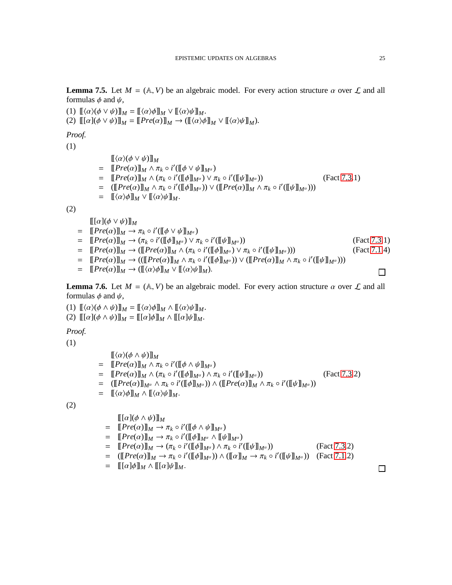<span id="page-26-0"></span>**Lemma 7.5.** Let  $M = (A, V)$  be an algebraic model. For every action structure  $\alpha$  over  $\mathcal{L}$  and all formulas  $\phi$  and  $\psi$ ,

(1)  $\llbracket \langle \alpha \rangle \langle \phi \vee \psi \rangle \rrbracket_M = \llbracket \langle \alpha \rangle \phi \rrbracket_M \vee \llbracket \langle \alpha \rangle \psi \rrbracket_M.$ 

(2)  $\llbracket [\alpha](\phi \vee \psi) \rrbracket_M = \llbracket Pre(\alpha) \rrbracket_M \rightarrow (\llbracket \langle \alpha \rangle \phi \rrbracket_M \vee \llbracket \langle \alpha \rangle \psi \rrbracket_M).$ 

*Proof.*

(1)

 $\llbracket \langle \alpha \rangle (\phi \vee \psi) \rrbracket_M$  $= \left[ \left[ Pre(\alpha) \right] \right]_M \wedge \pi_k \circ i'(\left[ \left[ \phi \vee \psi \right] \right]_{M^{\alpha}})$  $= \left[ \left[ Pre(\alpha) \right] \right]_M \wedge (\pi_k \circ i'(\left[ \phi \right] \right]_{M^\alpha}) \vee \pi_k \circ i'$ ([[ψ]]*M*<sup>α</sup> )) (Fact [7.3.](#page-25-2)1)  $=$   $( [ [Pre(\alpha)]]_M \wedge \pi_k \circ i' ( [ \![ \phi ] \!]_{M^{\alpha}}) ) \vee ( [ [Pre(\alpha)]]_M \wedge \pi_k \circ i' ( [ \![ \psi ] \!]_{M^{\alpha}}) ) )$  $= \quad \llbracket \langle \alpha \rangle \phi \rrbracket_M \vee \llbracket \langle \alpha \rangle \psi \rrbracket_M.$ 

(2)

 $\llbracket [\alpha](\phi \vee \psi) \rrbracket_M$ 

$$
= [\![Pre(\alpha)]\!]_M \to \pi_k \circ i'([\![\phi \vee \psi]\!]_{M^{\alpha}})
$$
  
\n
$$
= [\![Pre(\alpha)]\!]_M \to (\pi_k \circ i'([\![\phi]\!]_{M^{\alpha}}) \vee \pi_k \circ i'([\![\psi]\!]_{M^{\alpha}}))
$$
  
\n
$$
= [\![Pre(\alpha)]\!]_M \to ([\![Pre(\alpha)]\!]_M \wedge (\pi_k \circ i'([\![\phi]\!]_{M^{\alpha}}) \vee \pi_k \circ i'([\![\psi]\!]_{M^{\alpha}})))
$$
  
\n(Fact 7.1.4)

$$
= \left[ \left[ Pre(\alpha) \right] \right]_M \to ((\left[ \left[ Pre(\alpha) \right] \right]_M \wedge \pi_k \circ i'(\left[ \left[ \phi \right] \right]_{M^\alpha})) \vee (\left[ \left[ Pre(\alpha) \right] \right]_M \wedge \pi_k \circ i'(\left[ \left[ \psi \right] \right]_{M^\alpha})))
$$

 $= \left[ \left[ Pre(\alpha) \right] \right]_M \rightarrow \left( \left[ \left( \alpha \right) \phi \right] \right]_M \vee \left[ \left( \alpha \right) \psi \right]_M$ .

<span id="page-26-1"></span>**Lemma 7.6.** Let  $M = (A, V)$  be an algebraic model. For every action structure  $\alpha$  over  $\mathcal{L}$  and all formulas  $\phi$  and  $\psi$ ,

(1)  $\llbracket \langle \alpha \rangle (\phi \wedge \psi) \rrbracket_M = \llbracket \langle \alpha \rangle \phi \rrbracket_M \wedge \llbracket \langle \alpha \rangle \psi \rrbracket_M.$ 

(2)  $\llbracket [\alpha](\phi \wedge \psi) \rrbracket_M = \llbracket [\alpha]\phi \rrbracket_M \wedge \llbracket [\alpha]\psi \rrbracket_M.$ 

*Proof.*

(1)

 $\llbracket \langle \alpha \rangle (\phi \wedge \psi) \rrbracket_M$  $= \left[ \left[ Pre(\alpha) \right] \right]_M \wedge \pi_k \circ i'(\left[ \left[ \phi \wedge \psi \right] \right]_{M^{\alpha}})$  $= \left[ \left[ Pre(\alpha) \right] \right]_M \wedge (\pi_k \circ i'(\left[ \phi \right] \right]_{M^\alpha}) \wedge \pi_k \circ i'$ ([[ψ]]*M*<sup>α</sup> )) (Fact [7.3.](#page-25-2)2)  $=$   $( [\![Pre(\alpha)]\!]_{M^{\alpha}} \wedge \pi_k \circ i'([\![\phi]\!]_{M^{\alpha}})) \wedge ([\![Pre(\alpha)]\!]_M \wedge \pi_k \circ i'([\![\psi]\!]_{M^{\alpha}}))$  $= \left[ (\alpha) \phi \right]_M \wedge \left[ (\alpha) \psi \right]_M.$ 

(2)

$$
\begin{split}\n\llbracket [\alpha](\phi \wedge \psi)] \rrbracket_M \\
&= \llbracket Pre(\alpha) \rrbracket_M \to \pi_k \circ i'([\llbracket \phi \wedge \psi] \rrbracket_{M^{\alpha}}) \\
&= \llbracket Pre(\alpha) \rrbracket_M \to \pi_k \circ i'([\llbracket \phi \rrbracket_{M^{\alpha}} \wedge [\llbracket \psi \rrbracket_{M^{\alpha}})) \\
&= \llbracket Pre(\alpha) \rrbracket_M \to (\pi_k \circ i'([\llbracket \phi \rrbracket_{M^{\alpha}}) \wedge \pi_k \circ i'([\llbracket \psi \rrbracket_{M^{\alpha}})) \qquad (\text{Fact 7.3.2}) \\
&= (\llbracket Pre(\alpha) \rrbracket_M \to \pi_k \circ i'([\llbracket \phi \rrbracket_{M^{\alpha}})) \wedge (\llbracket \alpha \rrbracket_M \to \pi_k \circ i'([\llbracket \psi \rrbracket_{M^{\alpha}})) \qquad (\text{Fact 7.1.2}) \\
&= \llbracket [\alpha] \phi \rrbracket_M \wedge [\llbracket \alpha] \psi \rrbracket_M.\n\end{split}
$$

 $\Box$ 

 $\Box$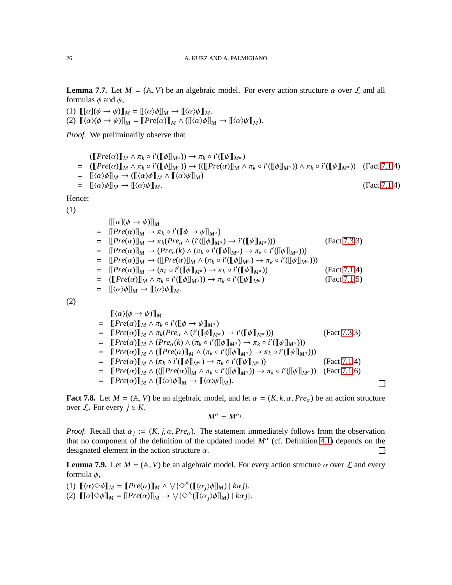<span id="page-27-0"></span>**Lemma 7.7.** Let  $M = (A, V)$  be an algebraic model. For every action structure  $\alpha$  over  $\mathcal{L}$  and all formulas  $\phi$  and  $\psi$ ,

(1)  $\llbracket [\alpha](\phi \rightarrow \psi) \rrbracket_M = \llbracket \langle \alpha \rangle \phi \rrbracket_M \rightarrow \llbracket \langle \alpha \rangle \psi \rrbracket_M.$ (2)  $[\langle \alpha \rangle(\phi \to \psi) ]\]_M = [\![Pre(\alpha)]\!]_M \wedge ([\langle \alpha \rangle \phi] \!]_M \to [\![\langle \alpha \rangle \psi] \!]_M).$ 

*Proof.* We preliminarily observe that

 $([\![Pre(\alpha)]\!]_M \wedge \pi_k \circ i'([\![\phi]\!]_{M^\alpha})) \to \pi_k \circ i'([\![\psi]\!]_{M^\alpha})$  $=$   $(\llbracket Pre(\alpha) \rrbracket_M \wedge \pi_k \circ i'(\llbracket \phi \rrbracket_{M^\alpha})) \rightarrow ((\llbracket Pre(\alpha) \rrbracket_M \wedge \pi_k \circ i'(\llbracket \phi \rrbracket_{M^\alpha})) \wedge \pi_k \circ i'(\llbracket \psi \rrbracket_{M^\alpha}))$  (Fact [7.1.](#page-24-2)4)  $= [\langle \alpha \rangle \phi]_M \rightarrow ([\![\langle \alpha \rangle \phi] ]_M \wedge [\![\langle \alpha \rangle \psi] ]_M)$  $=$   $\left[\frac{\langle \alpha \rangle \phi \right]_M \rightarrow \left[\frac{\langle \alpha \rangle \psi \right]_M}{\phi}.$  (Fact [7.1.](#page-24-2)4)

Hence:

(1)

 $\llbracket [\alpha](\phi \rightarrow \psi) \rrbracket_M$  $= \left[ \left[ Pre(\alpha) \right] \right]_M \rightarrow \pi_k \circ i'(\left[ \left[ \phi \rightarrow \psi \right] \right]_{M^\alpha})$  $= \left[ \left[ Pre(\alpha) \right] \right]_M \to \pi_k(Pre_\alpha \wedge (i'(\left[ \phi \right] \right]_{M^\alpha})) \to i'(\left[ \psi \right]_{M^\alpha})))$  (Fact [7.3.](#page-25-2)3)  $= \left[ \left[ Pre(\alpha) \right] \right]_M \to (Pre_\alpha(k) \wedge (\pi_k \circ i'(\left[ \phi \right] \right]_{M^\alpha}) \to \pi_k \circ i'(\left[ \left[ \psi \right] \right]_{M^\alpha})))$  $= \left[ \left[ Pre(\alpha) \right] \right]_M \to \left( \left[ \left[ Pre(\alpha) \right] \right]_M \wedge \left( \pi_k \circ i'(\left[ \phi \right] \right]_{M^{\alpha}}) \to \pi_k \circ i'(\left[ \psi \right]_{M^{\alpha}}) \right)$  $= \left[ \left[ Pre(\alpha) \right] \right]_M \rightarrow \left( \pi_k \circ i'(\left[ \phi \right] \right]_{M^\alpha} \right) \rightarrow \pi_k \circ i'$ (Fact [7.1.](#page-24-2)4)  $=$   $( [ [Pre(\alpha) ] ]_M \wedge \pi_k \circ i' ( [ \![ \phi ] \!]_{M^{\alpha}} ) ) \rightarrow \pi_k \circ i'$ (Fact [7.1.](#page-24-2)5)  $= \left[ (\alpha)\phi \right]_M \rightarrow \left[ (\alpha)\psi \right]_M.$ 

(2)

$$
\begin{split}\n&[\langle\alpha\rangle(\phi\rightarrow\psi)]\rangle_{M} \\
&= [\![Pre(\alpha)]\!]_{M} \wedge \pi_{k} \circ i'([\![\phi\rightarrow\psi]\!]_{M^{\alpha}}) \\
&= [\![Pre(\alpha)]\!]_{M} \wedge \pi_{k}(Pre_{\alpha} \wedge (i'([\![\phi]\!]_{M^{\alpha}}) \rightarrow i'([\![\psi]\!]_{M^{\alpha}}))) \\
&= [\![Pre(\alpha)]\!]_{M} \wedge (Pre_{\alpha}(k) \wedge (\pi_{k} \circ i'([\![\phi]\!]_{M^{\alpha}}) \rightarrow \pi_{k} \circ i'([\![\psi]\!]_{M^{\alpha}}))) \\
&= [\![Pre(\alpha)]\!]_{M} \wedge ([\![Pre(\alpha)]\!]_{M} \wedge (\pi_{k} \circ i'([\![\phi]\!]_{M^{\alpha}}) \rightarrow \pi_{k} \circ i'([\![\psi]\!]_{M^{\alpha}}))) \\
&= [\![Pre(\alpha)]\!]_{M} \wedge (\pi_{k} \circ i'([\![\phi]\!]_{M^{\alpha}}) \rightarrow \pi_{k} \circ i'([\![\psi]\!]_{M^{\alpha}})) \\
&= [\![Pre(\alpha)]\!]_{M} \wedge (([\![Pre(\alpha)]\!]_{M} \wedge \pi_{k} \circ i'([\![\phi]\!]_{M^{\alpha}})) \rightarrow \pi_{k} \circ i'([\![\psi]\!]_{M^{\alpha}})) \quad (\text{Fact 7.1.6}) \\
&= [\![Pre(\alpha)]\!]_{M} \wedge ([\![\alpha\land\phi]\!]_{M} \rightarrow [\![\langle\alpha\rangle\psi]\!]_{M}).\n\end{split}
$$

 $\Box$ 

<span id="page-27-2"></span>**Fact 7.8.** Let  $M = (A, V)$  be an algebraic model, and let  $\alpha = (K, k, \alpha, Pre_{\alpha})$  be an action structure over  $\mathcal{L}$ . For every  $j \in K$ ,

$$
M^{\alpha}=M^{\alpha_j}.
$$

*Proof.* Recall that  $\alpha_j := (K, j, \alpha, Pre_\alpha)$ . The statement immediately follows from the observation that no component of the definition of the updated model  $M^{\alpha}$  (cf. Definition [4.1\)](#page-16-3) depends on the designated element in the action structure  $\alpha$ .  $\Box$ 

<span id="page-27-1"></span>**Lemma 7.9.** Let  $M = (\mathbb{A}, V)$  be an algebraic model. For every action structure  $\alpha$  over  $\mathcal{L}$  and every formula  $\phi$ ,

(1)  $[\![\langle \alpha \rangle \Diamond \phi] \!]_M = [\![Pre(\alpha)] \!]_M \land \forall {\Diamond^{\mathbb{A}}}([\![\langle \alpha_j \rangle \phi] \!]_M) \mid k\alpha j$ .

(2)  $[\![ [\alpha] \Diamond \phi] ]\!]_M = [\![ Pre(\alpha)] \!]_M \rightarrow \bigvee \{\Diamond^{\mathbb{A}}([\![ \langle \alpha_j \rangle \phi] \!]_M) \mid k\alpha j\}.$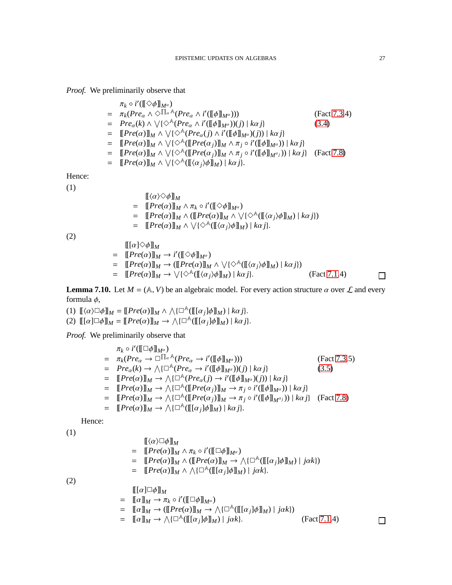*Proof.* We preliminarily observe that

′

| $\pi_k \circ i'(\llbracket \diamondsuit \phi \rrbracket_{M^{\alpha}})$                                                                                                                                                                              |              |
|-----------------------------------------------------------------------------------------------------------------------------------------------------------------------------------------------------------------------------------------------------|--------------|
| $= \pi_k(Pre_\alpha \wedge \Diamond \Pi_\alpha {\mathbb A}(Pre_\alpha \wedge i'(\llbracket \phi \rrbracket_{M^\alpha})))$                                                                                                                           | (Fact 7.3.4) |
| $= Pre_{\alpha}(k) \wedge \sqrt{\{\Diamond^{\mathbb{A}}(Pre_{\alpha} \wedge i'(\llbracket \phi \rrbracket_{M^{\alpha}}))(i) \mid k\alpha i\}}$                                                                                                      | (3.4)        |
| $= \left[ \left[ Pre(\alpha) \right] \right]_M \wedge \left[ \left( \bigotimes^{\mathbb{A}} (Pre_\alpha(j) \wedge i'(\left[ \phi \right] \right) \right] \right] \times \alpha_i$                                                                   |              |
| $= \left[ \left[ Pre(\alpha) \right] \right]_M \wedge \bigvee \left\{ \bigtriangleup^{\mathbb{A}} \left( \left[ \right] Pre(\alpha_j) \right] \right\}_M \wedge \pi_j \circ i'(\left[ \phi \right] \right)_{M^{\alpha}}) \right) \mid k\alpha j \}$ |              |
| = $[Pre(\alpha)]_M \wedge \sqrt{\{\diamond^{\mathbb{A}}([Pre(\alpha_j)]_M \wedge \pi_j \circ i'([\![\phi]\!]_{M^{\alpha_j}})) \mid k\alpha_j\}}$ (Fact 7.8)                                                                                         |              |
| $= [Pre(\alpha)]_M \wedge \sqrt{\{\diamond^{\mathbb{A}}([{\langle \alpha_i \rangle \phi}]]_M}) \mid k\alpha_j\}.$                                                                                                                                   |              |
|                                                                                                                                                                                                                                                     |              |
|                                                                                                                                                                                                                                                     |              |
| $\llbracket \langle \alpha \rangle \Diamond \phi \rrbracket_M$                                                                                                                                                                                      |              |
| $= [Pre(\alpha)]_M \wedge \pi_k \circ i'([[\diamond \phi]]_{M^{\alpha}})$                                                                                                                                                                           |              |
| = $[Pre(\alpha)]_M \wedge ([[Pre(\alpha)]_M \wedge \vee {\otimes}^{\mathbb{A}} (([\alpha_i)\phi]]_M)   k\alpha j {\otimes}$                                                                                                                         |              |

 $= \left[ \left[ Pre(\alpha) \right] \right]_M \wedge \sqrt{\left( \Diamond^{\mathbb{A}} (\left[ \left( \alpha_j \right) \phi \right] \right]_M} \right) \mid k\alpha j$ .

(2)

(1)

(2)

Hence: (1)

$$
\begin{aligned}\n\llbracket [\alpha] \diamondsuit \phi \rrbracket_M \\
&= \llbracket \text{Pre}(\alpha) \rrbracket_M \to i'([\llbracket \diamondsuit \phi] \rrbracket_{M^\alpha}) \\
&= \llbracket \text{Pre}(\alpha) \rrbracket_M \to (\llbracket \text{Pre}(\alpha) \rrbracket_M \land \vee \{\diamondsuit^{\mathbb{A}} (\llbracket \langle \alpha_j \rangle \phi \rrbracket_M) \mid k\alpha j\}) \\
&= \llbracket \text{Pre}(\alpha) \rrbracket_M \to \vee \{\diamond^{\mathbb{A}} (\llbracket \langle \alpha_j \rangle \phi \rrbracket_M) \mid k\alpha j\}. \n\end{aligned}
$$
\n(Fact 7.1.4)

<span id="page-28-0"></span>**Lemma 7.10.** Let  $M = (A, V)$  be an algebraic model. For every action structure  $\alpha$  over  $\mathcal{L}$  and every formula  $\phi$ ,

(1)  $[\![\langle \alpha \rangle \Box \phi] \!]_M = [\![Pre(\alpha)] \!]_M \wedge \wedge {\Box}^{\mathbb{A}}([\![\alpha_j] \phi] \!]_M) \mid k\alpha j$ . (2)  $[\![ [\alpha]\Box\phi]\!]_M = [\![Pre(\alpha)]\!]_M \to \wedge {\{\Box^{\mathbb{A}}}([\![ [\alpha_j]\phi]\!]_M) \mid k\alpha j\}.$ 

*Proof.* We preliminarily observe that

$$
\pi_{k} \circ i'(\llbracket \Box \phi \rrbracket_{M^{\alpha}})
$$
\n
$$
= \pi_{k}(Pre_{\alpha} \to \Box \Box^{A} \land (Pre_{\alpha} \to i'(\llbracket \phi \rrbracket_{M^{\alpha}})))
$$
\n
$$
= Pre_{\alpha}(k) \to \wedge {\Box^{A}(Pre_{\alpha} \to i'(\llbracket \phi \rrbracket_{M^{\alpha}}))}(j) | k\alpha j
$$
\n
$$
= \llbracket Pre(\alpha) \rrbracket_{M} \to \wedge {\Box^{A}(Pre_{\alpha}(j) \to i'(\llbracket \phi \rrbracket_{M^{\alpha}})(j)) | k\alpha j}
$$
\n
$$
= \llbracket Pre(\alpha) \rrbracket_{M} \to \wedge {\Box^{A}(\llbracket Pre(\alpha_{j}) \rrbracket_{M} \to \pi_{j} \circ i'(\llbracket \phi \rrbracket_{M^{\alpha}})) | k\alpha j}
$$
\n
$$
= \llbracket Pre(\alpha) \rrbracket_{M} \to \wedge {\Box^{A}(\llbracket Pre(\alpha_{j}) \rrbracket_{M} \to \pi_{j} \circ i'(\llbracket \phi \rrbracket_{M^{\alpha_{j}}})) | k\alpha j}
$$
\n
$$
= \llbracket Pre(\alpha) \rrbracket_{M} \to \wedge {\Box^{A}(\llbracket [\alpha_{j}] \phi \rrbracket_{M}) | k\alpha j}.
$$
\nHence:\n
$$
[\llbracket \langle \alpha \rangle \Box \phi \rrbracket_{M}
$$

$$
= \left[ Pre(\alpha) \right]_M \wedge \pi_k \circ i'(\left[ \Box \phi \right]_M) \n= \left[ Pre(\alpha) \right]_M \wedge \left( \left[ Pre(\alpha) \right]_M \to \wedge \left\{ \Box^{\mathbb{A}}(\left[ \left[ \alpha_j \right] \phi \right]_M) \mid j\alpha k \right\} \right) \n= \left[ Pre(\alpha) \right]_M \wedge \wedge \left\{ \Box^{\mathbb{A}}(\left[ \left[ \alpha_j \right] \phi \right]_M) \mid j\alpha k \right\}.
$$
\n
$$
= \left[ \left[ \alpha \right] \Box \phi \right]_M \n= \left[ \left[ \alpha \right]_\mathbb{M} \to \pi_k \circ i'(\left[ \Box \phi \right]_\mathbb{M} \right] \wedge \left\{ \Box^{\mathbb{A}}(\left[ \left[ \alpha_j \right] \phi \right]_M \right] \right) \cup \left\{ \Box^{\mathbb{A}}(\left[ \alpha_j \right] \right\} \right)
$$

 $\Box$